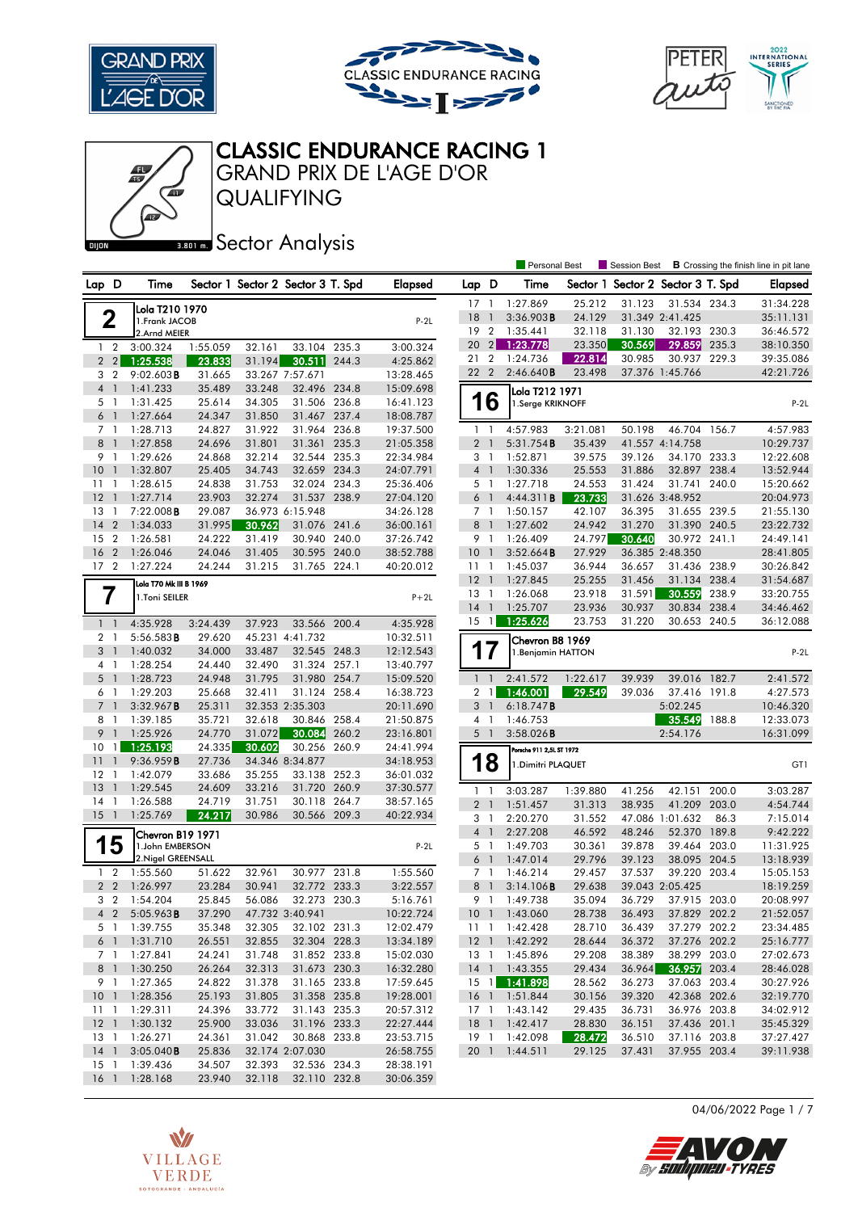

41





# CLASSIC ENDURANCE RACING 1

QUALIFYING GRAND PRIX DE L'AGE D'OR

#### **BROT MEDITY SECTOR Analysis**

|                                |                           |                  |                                   |                              |       |                        |                           |                  | <b>Personal Best</b>     |                  | Session Best                      |                              |       | <b>B</b> Crossing the finish line in pit lane |
|--------------------------------|---------------------------|------------------|-----------------------------------|------------------------------|-------|------------------------|---------------------------|------------------|--------------------------|------------------|-----------------------------------|------------------------------|-------|-----------------------------------------------|
| Lap D                          | Time                      |                  | Sector 1 Sector 2 Sector 3 T. Spd |                              |       | Elapsed                | Lap D                     |                  | Time                     |                  | Sector 1 Sector 2 Sector 3 T. Spd |                              |       | <b>Elapsed</b>                                |
|                                | Lola T210 1970            |                  |                                   |                              |       |                        | $17-1$                    |                  | 1:27.869                 | 25.212           | 31.123                            | 31.534 234.3                 |       | 31:34.228                                     |
| 2                              | 1. Frank JACOB            |                  |                                   |                              |       | $P-2L$                 | 18                        | $\overline{1}$   | 3:36.903B                | 24.129           |                                   | 31.349 2:41.425              |       | 35:11.131                                     |
|                                | 2.Arnd MEIER              |                  |                                   |                              |       |                        | 192                       |                  | 1:35.441                 | 32.118           | 31.130                            | 32.193 230.3                 |       | 36:46.572                                     |
| $1\quad2$                      | 3:00.324                  | 1:55.059         | 32.161                            | 33.104 235.3                 |       | 3:00.324               | 20                        | $\left 2\right $ | 1:23.778                 | 23.350           | 30.569                            | 29.859                       | 235.3 | 38:10.350                                     |
| 2 <sub>2</sub>                 | 1:25.538                  | 23.833           | 31.194                            | 30.511 244.3                 |       | 4:25.862               | 21 2                      |                  | 1:24.736                 | 22.814           | 30.985                            | 30.937 229.3                 |       | 39:35.086                                     |
| 3 <sub>2</sub>                 | $9:02.603$ B              | 31.665           |                                   | 33.267 7:57.671              |       | 13:28.465              | 22 2                      |                  | 2:46.640B                | 23.498           |                                   | 37.376 1:45.766              |       | 42:21.726                                     |
| $4-1$                          | 1:41.233                  | 35.489           | 33.248                            | 32.496 234.8                 |       | 15:09.698              |                           |                  | Lola T212 1971           |                  |                                   |                              |       |                                               |
| 5 <sub>1</sub>                 | 1:31.425                  | 25.614           | 34.305                            | 31.506 236.8                 |       | 16:41.123              |                           | 16               | 1.Serge KRIKNOFF         |                  |                                   |                              |       | $P-2L$                                        |
| 6 <sub>1</sub>                 | 1:27.664                  | 24.347           | 31.850                            | 31.467                       | 237.4 | 18:08.787              |                           |                  |                          |                  |                                   |                              |       |                                               |
| 7 <sub>1</sub>                 | 1:28.713                  | 24.827           | 31.922                            | 31.964 236.8                 |       | 19:37.500              |                           | $1\quad$         | 4:57.983                 | 3:21.081         | 50.198                            | 46.704 156.7                 |       | 4:57.983                                      |
| $8-1$                          | 1:27.858                  | 24.696           | 31.801                            | 31.361                       | 235.3 | 21:05.358              |                           | 2 <sub>1</sub>   | 5:31.754B                | 35.439           |                                   | 41.557 4:14.758              |       | 10:29.737                                     |
| 9 1                            | 1:29.626                  | 24.868           | 32.214                            | 32.544 235.3                 |       | 22:34.984              |                           | 3 1              | 1:52.871                 | 39.575           | 39.126                            | 34.170 233.3                 |       | 12:22.608                                     |
| 10 <sub>1</sub>                | 1:32.807                  | 25.405           | 34.743                            | 32.659 234.3                 |       | 24:07.791              |                           | 4 <sup>1</sup>   | 1:30.336                 | 25.553           | 31.886                            | 32.897 238.4                 |       | 13:52.944                                     |
| $11-1$                         | 1:28.615                  | 24.838           | 31.753                            | 32.024 234.3                 |       | 25:36.406              |                           | 5 1              | 1:27.718                 | 24.553           | 31.424                            | 31.741 240.0                 |       | 15:20.662                                     |
| $12-1$                         | 1:27.714                  | 23.903           | 32.274                            | 31.537 238.9                 |       | 27:04.120              |                           | $6-1$            | 4:44.311B                | 23.733           |                                   | 31.626 3:48.952              |       | 20:04.973                                     |
| 13 1                           | 7:22.008B                 | 29.087           |                                   | 36.973 6:15.948              |       | 34:26.128              |                           | 7 1              | 1:50.157                 | 42.107           | 36.395                            | 31.655 239.5                 |       | 21:55.130                                     |
| $14 \quad 2$                   | 1:34.033                  | 31.995           | 30.962                            | 31.076 241.6                 |       | 36:00.161              |                           | 8 <sup>1</sup>   | 1:27.602                 | 24.942           | 31.270                            | 31.390 240.5                 |       | 23:22.732                                     |
| 15 2                           | 1:26.581                  | 24.222           | 31.419                            | 30.940 240.0                 |       | 37:26.742              |                           | 9 1              | 1:26.409                 | 24.797           | 30.640                            | 30.972 241.1                 |       | 24:49.141                                     |
| 16 <sub>2</sub>                | 1:26.046                  | 24.046           | 31.405                            | 30.595 240.0                 |       | 38:52.788              | 10                        | $\overline{1}$   | 3:52.664B                | 27.929           |                                   | 36.385 2:48.350              |       | 28:41.805                                     |
| 17 <sub>2</sub>                | 1:27.224                  | 24.244           | 31.215                            | 31.765 224.1                 |       | 40:20.012              | $11-1$                    |                  | 1:45.037                 | 36.944           | 36.657                            | 31.436 238.9                 |       | 30:26.842                                     |
|                                | Lola T70 Mk III B 1969    |                  |                                   |                              |       |                        | $12-1$                    |                  | 1:27.845                 | 25.255           | 31.456                            | 31.134 238.4                 |       | 31:54.687                                     |
| 7                              | 1.Toni SEILER             |                  |                                   |                              |       | $P+2L$                 | 13                        | $\overline{1}$   | 1:26.068                 | 23.918           | 31.591                            | 30.559                       | 238.9 | 33:20.755                                     |
|                                |                           |                  |                                   |                              |       |                        | $14-1$                    |                  | 1:25.707                 | 23.936           | 30.937                            | 30.834 238.4                 |       | 34:46.462                                     |
| $1\quad$                       | 4:35.928                  | 3:24.439         | 37.923                            | 33.566 200.4                 |       | 4:35.928               | 15                        | $\overline{1}$   | 1:25.626                 | 23.753           | 31.220                            | 30.653 240.5                 |       | 36:12.088                                     |
| 2 <sub>1</sub>                 | 5:56.583B                 | 29.620           |                                   | 45.231 4:41.732              |       | 10:32.511              |                           |                  | Chevron B8 1969          |                  |                                   |                              |       |                                               |
| 3 <sup>1</sup>                 | 1:40.032                  | 34.000           | 33.487                            | 32.545 248.3                 |       | 12:12.543              |                           | 17               | 1. Benjamin HATTON       |                  |                                   |                              |       | $P-2L$                                        |
| 4 <sub>1</sub>                 | 1:28.254                  | 24.440           | 32.490                            | 31.324 257.1                 |       | 13:40.797              |                           |                  |                          |                  |                                   |                              |       |                                               |
| 5<br>$\overline{1}$            | 1:28.723                  | 24.948           | 31.795                            | 31.980 254.7                 |       | 15:09.520              |                           | $1 \quad 1$      | 2:41.572                 | 1:22.617         | 39.939                            | 39.016 182.7                 |       | 2:41.572                                      |
| 6 1                            | 1:29.203                  | 25.668           | 32.411                            | 31.124 258.4                 |       | 16:38.723              | $\overline{2}$            | $\mathbf{1}$     | 1:46.001                 | 29.549           | 39.036                            | 37.416 191.8                 |       | 4:27.573                                      |
| 7 <sub>1</sub>                 | 3:32.967B                 | 25.311           |                                   | 32.353 2:35.303              |       | 20:11.690              |                           | 3 <sup>1</sup>   | 6:18.747B                |                  |                                   | 5:02.245                     |       | 10:46.320                                     |
| 8 1                            | 1:39.185                  | 35.721           | 32.618                            | 30.846 258.4                 |       | 21:50.875              |                           | 4 1              | 1:46.753                 |                  |                                   | 35.549                       | 188.8 | 12:33.073                                     |
| 9<br>$\overline{1}$            | 1:25.926                  | 24.770           | 31.072                            | 30.084                       | 260.2 | 23:16.801              |                           | 5 <sub>1</sub>   | $3:58.026$ B             |                  |                                   | 2:54.176                     |       | 16:31.099                                     |
| 10 <sub>1</sub>                | 1:25.193                  | 24.335           | 30.602                            | 30.256 260.9                 |       | 24:41.994              |                           |                  | Porsche 911 2,5L ST 1972 |                  |                                   |                              |       |                                               |
| 11<br>$\overline{\phantom{a}}$ | 9:36.959B                 | 27.736           |                                   | 34.346 8:34.877              |       | 34:18.953              |                           | 18               | 1. Dimitri PLAQUET       |                  |                                   |                              |       | GT1                                           |
| $12-1$                         | 1:42.079                  | 33.686           | 35.255                            | 33.138 252.3                 |       | 36:01.032              |                           |                  |                          |                  |                                   |                              |       |                                               |
| 13<br>$\overline{1}$           | 1:29.545                  | 24.609           | 33.216                            | 31.720                       | 260.9 | 37:30.577              |                           | $1\quad$         | 3:03.287                 | 1:39.880         | 41.256                            | 42.151 200.0                 |       | 3:03.287                                      |
| $14-1$                         | 1:26.588                  | 24.719           | 31.751                            | 30.118 264.7                 |       | 38:57.165              |                           | 2 <sub>1</sub>   | 1:51.457                 | 31.313           | 38.935                            | 41.209                       | 203.0 | 4:54.744                                      |
| $15-1$                         | 1:25.769                  | 24.217           | 30.986                            | 30.566 209.3                 |       | 40:22.934              |                           | 3 <sub>1</sub>   | 2:20.270                 | 31.552           |                                   | 47.086 1:01.632              | 86.3  | 7:15.014                                      |
|                                | Chevron B19 1971          |                  |                                   |                              |       |                        |                           | 4 <sup>1</sup>   | 2:27.208                 | 46.592           | 48.246                            | 52.370                       | 189.8 | 9:42.222                                      |
| 5                              | 1.John EMBERSON           |                  |                                   |                              |       | $P-2L$                 |                           | 5 <sub>1</sub>   | 1:49.703                 | 30.361           | 39.878                            | 39.464 203.0                 |       | 11:31.925                                     |
|                                | 2. Nigel GREENSALL        |                  |                                   |                              |       |                        |                           | 6 <sup>1</sup>   | 1:47.014                 | 29.796           | 39.123                            | 38.095 204.5                 |       | 13:18.939                                     |
| $1\quad2$                      | 1:55.560                  | 51.622           | 32.961                            | 30.977 231.8                 |       | 1:55.560               |                           | 7 <sub>1</sub>   | 1:46.214                 | 29.457           | 37.537                            | 39.220 203.4                 |       | 15:05.153                                     |
| 2 <sub>2</sub>                 | 1:26.997                  | 23.284           | 30.941                            | 32.772 233.3                 |       | 3:22.557               | 8                         | $\overline{1}$   | 3:14.106B                | 29.638           |                                   | 39.043 2:05.425              |       | 18:19.259                                     |
| 3 <sub>2</sub>                 | 1:54.204                  | 25.845           | 56.086                            | 32.273 230.3                 |       | 5:16.761               |                           | 9 1              | 1:49.738                 | 35.094           | 36.729                            | 37.915 203.0                 |       | 20:08.997                                     |
|                                | 4 2 5:05.963B             | 37.290           |                                   | 47.732 3:40.941              |       | 10:22.724              |                           |                  | 10 1 1:43.060            | 28.738           | 36.493                            | 37.829 202.2                 |       | 21:52.057                                     |
| 5 1                            | 1:39.755                  | 35.348           | 32.305                            | 32.102 231.3                 |       | 12:02.479              |                           | 111              | 1:42.428                 | 28.710           | 36.439                            | 37.279 202.2                 |       | 23:34.485                                     |
|                                | 6 1 1:31.710              | 26.551           | 32.855                            | 32.304 228.3                 |       | 13:34.189              |                           |                  | 12 1 1:42.292            | 28.644           | 36.372                            | 37.276 202.2                 |       | 25:16.777                                     |
| 7 <sup>1</sup>                 | 1:27.841                  | 24.241           | 31.748                            | 31.852 233.8                 |       | 15:02.030              | 13 1                      |                  | 1:45.896                 | 29.208           | 38.389                            | 38.299 203.0                 |       | 27:02.673                                     |
|                                | 8 1 1:30.250              | 26.264           | 32.313                            | 31.673 230.3                 |       | 16:32.280              |                           |                  | 14 1 1:43.355            | 29.434           |                                   | 36.964 36.957 203.4          |       | 28:46.028                                     |
| 9 1                            | 1:27.365                  | 24.822<br>25.193 | 31.378<br>31.805                  | 31.165 233.8                 |       | 17:59.645              |                           |                  | 15 1 1:41.898            | 28.562           | 36.273                            | 37.063 203.4                 |       | 30:27.926                                     |
|                                | 10 1 1:28.356             |                  |                                   | 31.358 235.8                 |       | 19:28.001              |                           |                  | 16 1 1:51.844            | 30.156           | 39.320                            | 42.368 202.6<br>36.976 203.8 |       | 32:19.770                                     |
| $11 \quad 1$                   | 1:29.311<br>12 1 1:30.132 | 24.396<br>25.900 | 33.772<br>33.036                  | 31.143 235.3<br>31.196 233.3 |       | 20:57.312              | $17-1$<br>18 <sup>1</sup> |                  | 1:43.142                 | 29.435           | 36.731<br>36.151                  | 37.436 201.1                 |       | 34:02.912                                     |
|                                | 13 1 1:26.271             | 24.361           | 31.042                            | 30.868 233.8                 |       | 22:27.444<br>23:53.715 | $19-1$                    |                  | 1:42.417<br>1:42.098     | 28.830<br>28.472 | 36.510                            | 37.116 203.8                 |       | 35:45.329<br>37:27.427                        |
| $14-1$                         | 3:05.040B                 | 25.836           |                                   | 32.174 2:07.030              |       | 26:58.755              | 20 <sub>1</sub>           |                  | 1:44.511                 | 29.125           | 37.431                            | 37.955 203.4                 |       | 39:11.938                                     |
| $15-1$                         | 1:39.436                  | 34.507           | 32.393                            | 32.536 234.3                 |       | 28:38.191              |                           |                  |                          |                  |                                   |                              |       |                                               |
|                                | 16 1 1:28.168             | 23.940           | 32.118                            | 32.110 232.8                 |       | 30:06.359              |                           |                  |                          |                  |                                   |                              |       |                                               |
|                                |                           |                  |                                   |                              |       |                        |                           |                  |                          |                  |                                   |                              |       |                                               |



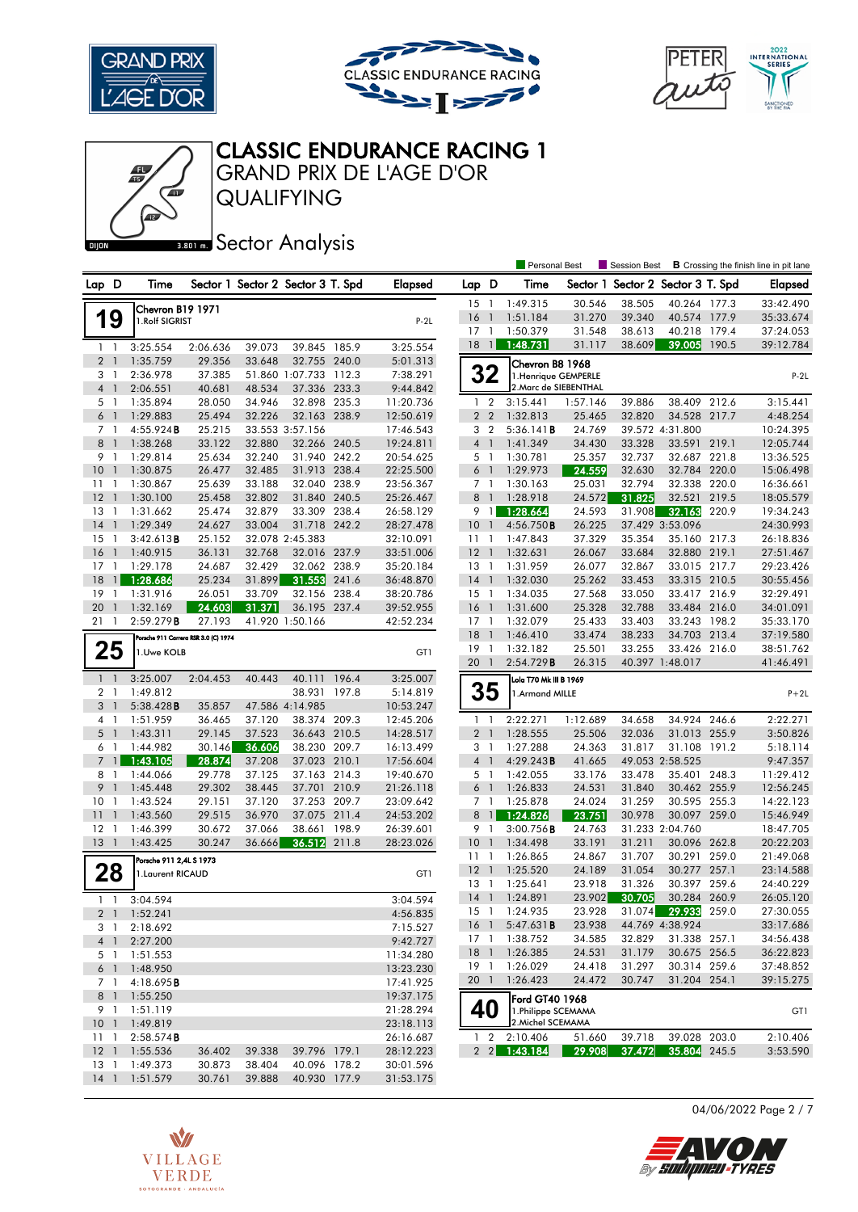





## CLASSIC ENDURANCE RACING 1

QUALIFYING GRAND PRIX DE L'AGE D'OR

卿

#### **BROT MEDITY SECTOR Analysis**

|                 |                |                                    |                                      |                  |                                   |       |                        |                 |                | Personal Best                           |          | <b>Session Best</b>               |                     |       | <b>B</b> Crossing the finish line in pit lane |
|-----------------|----------------|------------------------------------|--------------------------------------|------------------|-----------------------------------|-------|------------------------|-----------------|----------------|-----------------------------------------|----------|-----------------------------------|---------------------|-------|-----------------------------------------------|
| Lap D           |                | Time                               |                                      |                  | Sector 1 Sector 2 Sector 3 T. Spd |       | <b>Elapsed</b>         | Lap D           |                | Time                                    |          | Sector 1 Sector 2 Sector 3 T. Spd |                     |       | <b>Elapsed</b>                                |
|                 |                |                                    |                                      |                  |                                   |       |                        | 15              | $\overline{1}$ | 1:49.315                                | 30.546   | 38.505                            | 40.264 177.3        |       | 33:42.490                                     |
| 1               | 9              | Chevron B19 1971<br>1.Rolf SIGRIST |                                      |                  |                                   |       | $P-2L$                 | 16              | $\overline{1}$ | 1:51.184                                | 31.270   | 39.340                            | 40.574 177.9        |       | 35:33.674                                     |
|                 |                |                                    |                                      |                  |                                   |       |                        | 17              | $\overline{1}$ | 1:50.379                                | 31.548   | 38.613                            | 40.218 179.4        |       | 37:24.053                                     |
|                 | $1 \quad 1$    | 3:25.554                           | 2:06.636                             | 39.073           | 39.845 185.9                      |       | 3:25.554               | 18              | $\overline{1}$ | 1:48.731                                | 31.117   | 38.609                            | 39.005              | 190.5 | 39:12.784                                     |
|                 | 2 <sub>1</sub> | 1:35.759                           | 29.356                               | 33.648           | 32.755 240.0                      |       | 5:01.313               |                 |                | Chevron B8 1968                         |          |                                   |                     |       |                                               |
|                 | 3 <sub>1</sub> | 2:36.978                           | 37.385                               |                  | 51.860 1:07.733 112.3             |       | 7:38.291               |                 | 32             | 1. Henrique GEMPERLE                    |          |                                   |                     |       | $P-2L$                                        |
|                 | $4-1$          | 2:06.551                           | 40.681                               | 48.534           | 37.336 233.3                      |       | 9:44.842               |                 |                | 2. Marc de SIEBENTHAL                   |          |                                   |                     |       |                                               |
|                 | 5 <sub>1</sub> | 1:35.894                           | 28.050                               | 34.946           | 32.898 235.3                      |       | 11:20.736              |                 | 1 <sub>2</sub> | 3:15.441                                | 1:57.146 | 39.886                            | 38.409 212.6        |       | 3:15.441                                      |
|                 | 6 <sub>1</sub> | 1:29.883                           | 25.494                               | 32.226           | 32.163 238.9                      |       | 12:50.619              |                 | 2 <sub>2</sub> | 1:32.813                                | 25.465   | 32.820                            | 34.528              | 217.7 | 4:48.254                                      |
|                 | 7 <sub>1</sub> | 4:55.924B                          | 25.215                               |                  | 33.553 3:57.156                   |       | 17:46.543              |                 | 3 <sub>2</sub> | 5:36.141B                               | 24.769   |                                   | 39.572 4:31.800     |       | 10:24.395                                     |
| 8               | $\overline{1}$ | 1:38.268                           | 33.122                               | 32.880           | 32.266 240.5                      |       | 19:24.811              | $4-1$           |                | 1:41.349                                | 34.430   | 33.328                            | 33.591 219.1        |       | 12:05.744                                     |
|                 | 9 1            | 1:29.814                           | 25.634                               | 32.240           | 31.940 242.2                      |       | 20:54.625              | 5 <sub>1</sub>  |                | 1:30.781                                | 25.357   | 32.737                            | 32.687              | 221.8 | 13:36.525                                     |
| 10 <sup>°</sup> | $\overline{1}$ | 1:30.875                           | 26.477                               | 32.485           | 31.913 238.4                      |       | 22:25.500              | $6-1$           |                | 1:29.973                                | 24.559   | 32.630                            | 32.784 220.0        |       | 15:06.498                                     |
| 11              | $\overline{1}$ | 1:30.867                           | 25.639                               | 33.188           | 32.040 238.9                      |       | 23:56.367              | 7 <sub>1</sub>  |                | 1:30.163                                | 25.031   | 32.794                            | 32.338 220.0        |       | 16:36.661                                     |
| 12              | $\overline{1}$ | 1:30.100                           | 25.458                               | 32.802           | 31.840 240.5                      |       | 25:26.467              | 8               | $\overline{1}$ | 1:28.918                                | 24.572   | 31.825                            | 32.521              | 219.5 | 18:05.579                                     |
| 13              | $\overline{1}$ | 1:31.662                           | 25.474                               | 32.879           | 33.309 238.4                      |       | 26:58.129              | 9 1             |                | 1:28.664                                | 24.593   | 31.908                            | 32.163              | 220.9 | 19:34.243                                     |
| 14              | $\overline{1}$ | 1:29.349                           | 24.627                               | 33.004           | 31.718 242.2                      |       | 28:27.478              | 10              | $\overline{1}$ | 4:56.750B                               | 26.225   |                                   | 37.429 3:53.096     |       | 24:30.993                                     |
| 15              | $\overline{1}$ | 3:42.613B                          | 25.152                               |                  | 32.078 2:45.383                   |       | 32:10.091              | 11              | $\overline{1}$ | 1:47.843                                | 37.329   | 35.354                            | 35.160 217.3        |       | 26:18.836                                     |
| 16              | $\overline{1}$ | 1:40.915                           | 36.131                               | 32.768           | 32.016 237.9                      |       | 33:51.006              | 12              | $\overline{1}$ | 1:32.631                                | 26.067   | 33.684                            | 32.880 219.1        |       | 27:51.467                                     |
| $17-1$          |                | 1:29.178                           | 24.687                               | 32.429           | 32.062 238.9                      |       | 35:20.184              | $13-1$          |                | 1:31.959                                | 26.077   | 32.867                            | 33.015 217.7        |       | 29:23.426                                     |
| 18              | $\overline{1}$ | 1:28.686                           | 25.234                               | 31.899           | 31.553                            | 241.6 | 36:48.870              | $14-1$          |                | 1:32.030                                | 25.262   | 33.453                            | 33.315 210.5        |       | 30:55.456                                     |
| 19              | $\overline{1}$ | 1:31.916                           | 26.051                               | 33.709           | 32.156 238.4                      |       | 38:20.786              | $15-1$          |                | 1:34.035                                | 27.568   | 33.050                            | 33.417 216.9        |       | 32:29.491                                     |
| 20              | $\mathbf{1}$   | 1:32.169                           | 24.603                               | 31.371           | 36.195 237.4                      |       | 39:52.955              | 16              | $\overline{1}$ | 1:31.600                                | 25.328   | 32.788                            | 33.484 216.0        |       | 34:01.091                                     |
| 21              | $\mathbf{1}$   | 2:59.279B                          | 27.193                               |                  | 41.920 1:50.166                   |       | 42:52.234              | 17              | $\mathbf{1}$   | 1:32.079                                | 25.433   | 33.403                            | 33.243 198.2        |       | 35:33.170                                     |
|                 |                |                                    | Porsche 911 Carrera RSR 3.0 (C) 1974 |                  |                                   |       |                        | 18              | $\overline{1}$ | 1:46.410                                | 33.474   | 38.233                            | 34.703 213.4        |       | 37:19.580                                     |
|                 | 25             | 1.Uwe KOLB                         |                                      |                  |                                   |       | GT1                    | 19              | $\overline{1}$ | 1:32.182                                | 25.501   | 33.255                            | 33.426 216.0        |       | 38:51.762                                     |
|                 |                |                                    |                                      |                  |                                   |       |                        | 20              | $\overline{1}$ | 2:54.729B                               | 26.315   |                                   | 40.397 1:48.017     |       | 41:46.491                                     |
|                 | $1\quad$       | 3:25.007                           | 2:04.453                             | 40.443           | 40.111 196.4                      |       | 3:25.007               |                 |                | Lola T70 Mk III B 1969                  |          |                                   |                     |       |                                               |
|                 | 2 <sub>1</sub> | 1:49.812                           |                                      |                  | 38.931 197.8                      |       | 5:14.819               |                 | 35             | 1.Armand MILLE                          |          |                                   |                     |       | $P+2L$                                        |
| 3               | $\overline{1}$ | 5:38.428B                          | 35.857                               |                  | 47.586 4:14.985                   |       | 10:53.247              |                 |                |                                         |          |                                   |                     |       |                                               |
|                 | 4 1            | 1:51.959                           | 36.465                               | 37.120           | 38.374 209.3                      |       | 12:45.206              | 1 <sup>1</sup>  |                | 2:22.271                                | 1:12.689 | 34.658                            | 34.924 246.6        |       | 2:22.271                                      |
| 5               | $\overline{1}$ | 1:43.311                           | 29.145                               | 37.523           | 36.643 210.5                      |       | 14:28.517              | 2 <sub>1</sub>  |                | 1:28.555                                | 25.506   | 32.036                            | 31.013 255.9        |       | 3:50.826                                      |
|                 | 6 1            | 1:44.982                           | 30.146                               | 36.606           | 38.230 209.7                      |       | 16:13.499              | 3 <sub>1</sub>  |                | 1:27.288                                | 24.363   | 31.817                            | 31.108 191.2        |       | 5:18.114                                      |
| $\overline{7}$  | $\overline{1}$ | 1:43.105                           | 28.874                               | 37.208           | 37.023 210.1                      |       | 17:56.604              | 4 <sup>1</sup>  |                | 4:29.243B                               | 41.665   |                                   | 49.053 2:58.525     |       | 9:47.357                                      |
| 8               | $\overline{1}$ | 1:44.066                           | 29.778                               | 37.125           | 37.163 214.3                      |       | 19:40.670              | 5 <sub>1</sub>  |                | 1:42.055                                | 33.176   | 33.478                            | 35.401 248.3        |       | 11:29.412                                     |
| 9               | $\mathbf{1}$   | 1:45.448                           | 29.302                               | 38.445           | 37.701 210.9                      |       | 21:26.118              | 6 <sup>1</sup>  |                | 1:26.833                                | 24.531   | 31.840                            | 30.462 255.9        |       | 12:56.245                                     |
| 10              | -1             | 1:43.524                           | 29.151                               | 37.120           | 37.253 209.7                      |       | 23:09.642              | 7 <sub>1</sub>  |                | 1:25.878                                | 24.024   | 31.259                            | 30.595 255.3        |       | 14:22.123                                     |
| 11              | $\mathbf{1}$   | 1:43.560                           | 29.515                               | 36.970           | 37.075 211.4                      |       | 24:53.202              |                 | $8 \mid$       | 1:24.826                                | 23.751   | 30.978                            | 30.097 259.0        |       | 15:46.949                                     |
| $12 \,$         | - 1            | 1:46.399                           | 30.672                               | 37.066           | 38.661                            | 198.9 | 26:39.601              | 9 1             |                | 3:00.756B                               | 24.763   |                                   | 31.233 2:04.760     |       | 18:47.705                                     |
| $13-1$          |                | 1:43.425                           | 30.247                               | 36.666           | 36.512 211.8                      |       | 28:23.026              | 10              | $\overline{1}$ | 1:34.498                                | 33.191   | 31.211                            | 30.096 262.8        |       | 20:22.203                                     |
|                 |                | Porsche 911 2,4L S 1973            |                                      |                  |                                   |       |                        | 111             |                | 1:26.865                                | 24.867   | 31.707                            | 30.291              | 259.0 | 21:49.068                                     |
|                 | 28             |                                    |                                      |                  |                                   |       | GT1                    | 12              | $\overline{1}$ | 1:25.520                                | 24.189   | 31.054                            | 30.277 257.1        |       | 23:14.588                                     |
|                 |                | 1. Laurent RICAUD                  |                                      |                  |                                   |       |                        | 13              | -1             | 1:25.641                                | 23.918   | 31.326                            | 30.397              | 259.6 | 24:40.229                                     |
|                 | $1\quad$       | 3:04.594                           |                                      |                  |                                   |       | 3:04.594               | 14              | $\overline{1}$ | 1:24.891                                | 23.902   | 30.705                            | 30.284 260.9        |       | 26:05.120                                     |
|                 |                | 2 1 1:52.241                       |                                      |                  |                                   |       | 4:56.835               | 15              |                | 1 1:24.935                              | 23.928   |                                   | 31.074 29.933 259.0 |       | 27:30.055                                     |
|                 | 3 1            | 2:18.692                           |                                      |                  |                                   |       | 7:15.527               | $16-1$          |                | 5:47.631B                               | 23.938   |                                   | 44.769 4:38.924     |       | 33:17.686                                     |
|                 | $4 \quad 1$    | 2:27.200                           |                                      |                  |                                   |       | 9:42.727               |                 | 17 1           | 1:38.752                                | 34.585   | 32.829                            | 31.338 257.1        |       | 34:56.438                                     |
|                 | 5 1            | 1:51.553                           |                                      |                  |                                   |       | 11:34.280              | 18 <sup>1</sup> |                | 1:26.385                                | 24.531   | 31.179                            | 30.675 256.5        |       | 36:22.823                                     |
|                 |                |                                    |                                      |                  |                                   |       |                        | 19 1            |                | 1:26.029                                | 24.418   | 31.297                            | 30.314 259.6        |       | 37:48.852                                     |
|                 | 7 1            | 6 1 1:48.950<br>4:18.695B          |                                      |                  |                                   |       | 13:23.230<br>17:41.925 | 20 1            |                | 1:26.423                                | 24.472   | 30.747                            | 31.204 254.1        |       | 39:15.275                                     |
|                 | 8 1            |                                    |                                      |                  |                                   |       |                        |                 |                |                                         |          |                                   |                     |       |                                               |
|                 |                | 1:55.250                           |                                      |                  |                                   |       | 19:37.175              |                 |                | Ford GT40 1968                          |          |                                   |                     |       |                                               |
|                 | 9 1            | 1:51.119<br>10 1 1:49.819          |                                      |                  |                                   |       | 21:28.294              | 40              |                | 1.Philippe SCEMAMA<br>2. Michel SCEMAMA |          |                                   |                     |       | GT1                                           |
|                 | $11 \quad 1$   |                                    |                                      |                  |                                   |       | 23:18.113              |                 | $1\quad2$      | 2:10.406                                | 51.660   | 39.718                            | 39.028 203.0        |       | 2:10.406                                      |
|                 |                | 2:58.574B<br>12 1 1:55.536         |                                      |                  |                                   |       | 26:16.687              |                 |                | $2\quad 2 \quad 1:43.\overline{184}$    |          | 37.472                            |                     |       |                                               |
| $13-1$          |                | 1:49.373                           | 36.402                               | 39.338<br>38.404 | 39.796 179.1                      |       | 28:12.223              |                 |                |                                         | 29.908   |                                   | 35.804 245.5        |       | 3:53.590                                      |
|                 | $14-1$         | 1:51.579                           | 30.873<br>30.761                     | 39.888           | 40.096 178.2<br>40.930 177.9      |       | 30:01.596<br>31:53.175 |                 |                |                                         |          |                                   |                     |       |                                               |
|                 |                |                                    |                                      |                  |                                   |       |                        |                 |                |                                         |          |                                   |                     |       |                                               |



04/06/2022 Page 2 / 7

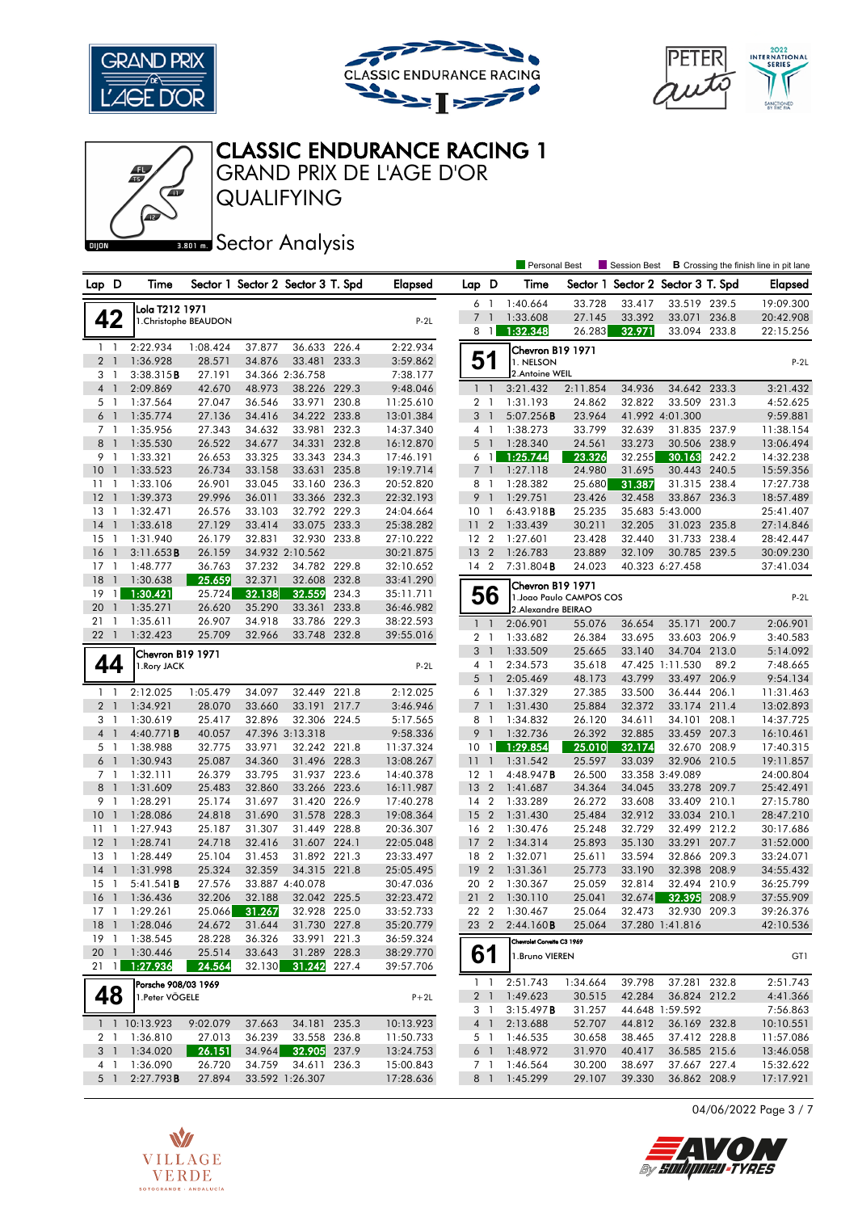





Personal Best **S** Session Best **B** Crossing the finish line in pit lane

## CLASSIC ENDURANCE RACING 1

QUALIFYING GRAND PRIX DE L'AGE D'OR

**BROTH** Sector Analysis

| Lap D          |                                | Time                  |                       | Sector 1 Sector 2 Sector 3 T. Spd |                              |       | <b>Elapsed</b>         | Lap D                 |                | Time                       | Sector 1         |                  | Sector 2 Sector 3 T. Spd     |       | <b>Elapsed</b>         |
|----------------|--------------------------------|-----------------------|-----------------------|-----------------------------------|------------------------------|-------|------------------------|-----------------------|----------------|----------------------------|------------------|------------------|------------------------------|-------|------------------------|
|                |                                |                       |                       |                                   |                              |       |                        | 6 1                   |                | 1:40.664                   | 33.728           | 33.417           | 33.519 239.5                 |       | 19:09.300              |
|                | 42                             | Lola T212 1971        | 1. Christophe BEAUDON |                                   |                              |       | $P-2L$                 | 7 <sup>1</sup>        |                | 1:33.608                   | 27.145           | 33.392           | 33.071                       | 236.8 | 20:42.908              |
|                |                                |                       |                       |                                   |                              |       |                        | 8                     | $\overline{1}$ | 1:32.348                   | 26.283           | 32.971           | 33.094 233.8                 |       | 22:15.256              |
| $\mathbf{1}$   | - 1                            | 2:22.934              | 1:08.424              | 37.877                            | 36.633                       | 226.4 | 2:22.934               |                       |                | Chevron B19 1971           |                  |                  |                              |       |                        |
|                | 2 <sub>1</sub>                 | 1:36.928              | 28.571                | 34.876                            | 33.481 233.3                 |       | 3:59.862               | 51                    |                | 1. NELSON                  |                  |                  |                              |       | $P-2L$                 |
| 3 <sub>1</sub> |                                | 3:38.315B             | 27.191                |                                   | 34.366 2:36.758              |       | 7:38.177               |                       |                | 2. Antoine WEIL            |                  |                  |                              |       |                        |
|                | 4 <sup>1</sup>                 | 2:09.869              | 42.670                | 48.973                            | 38.226 229.3                 |       | 9:48.046               | $1\quad$              |                | 3:21.432                   | 2:11.854         | 34.936           | 34.642 233.3                 |       | 3:21.432               |
|                | 5 <sub>1</sub>                 | 1:37.564              | 27.047                | 36.546                            | 33.971                       | 230.8 | 11:25.610              | 2 <sub>1</sub>        |                | 1:31.193                   | 24.862           | 32.822           | 33.509 231.3                 |       | 4:52.625               |
|                | 6 <sup>1</sup>                 | 1:35.774              | 27.136                | 34.416                            | 34.222 233.8                 |       | 13:01.384              | 3 <sup>1</sup>        |                | 5:07.256B                  | 23.964           |                  | 41.992 4:01.300              |       | 9:59.881               |
| 7 <sub>1</sub> |                                | 1:35.956              | 27.343                | 34.632                            | 33.981                       | 232.3 | 14:37.340              | 4 1                   |                | 1:38.273                   | 33.799           | 32.639           | 31.835 237.9                 |       | 11:38.154              |
| 8              | $\overline{1}$                 | 1:35.530              | 26.522                | 34.677                            | 34.331 232.8                 |       | 16:12.870              | $5-1$                 |                | 1:28.340                   | 24.561           | 33.273           | 30.506 238.9                 |       | 13:06.494              |
|                | 9 1                            | 1:33.321              | 26.653                | 33.325                            | 33.343 234.3                 |       | 17:46.191              | 6 1                   |                | 1:25.744                   | 23.326           | 32.255           | 30.163                       | 242.2 | 14:32.238              |
| 10             | $\overline{1}$                 | 1:33.523              | 26.734                | 33.158                            | 33.631                       | 235.8 | 19:19.714              | $\overline{7}$        | $\overline{1}$ | 1:27.118                   | 24.980           | 31.695           | 30.443                       | 240.5 | 15:59.356              |
| 11             | -1                             | 1:33.106              | 26.901                | 33.045                            | 33.160 236.3                 |       | 20:52.820              | 8 1                   |                | 1:28.382                   | 25.680           | 31.387           | 31.315 238.4                 |       | 17:27.738              |
| 12             | $\mathbf{1}$                   | 1:39.373              | 29.996                | 36.011                            | 33.366 232.3                 |       | 22:32.193              | 9                     | $\overline{1}$ | 1:29.751                   | 23.426           | 32.458           | 33.867 236.3                 |       | 18:57.489              |
| 13             | -1                             | 1:32.471              | 26.576                | 33.103                            | 32.792 229.3                 |       | 24:04.664              | 10                    | $\overline{1}$ | 6:43.918B                  | 25.235           |                  | 35.683 5:43.000              |       | 25:41.407              |
| 14             | $\overline{1}$                 | 1:33.618              | 27.129                | 33.414                            | 33.075 233.3                 |       | 25:38.282              | 11 <sub>2</sub>       |                | 1:33.439                   | 30.211           | 32.205           | 31.023 235.8                 |       | 27:14.846              |
| 15             | $\overline{1}$                 | 1:31.940              | 26.179                | 32.831                            | 32.930 233.8                 |       | 27:10.222              | 12 <sub>2</sub>       |                | 1:27.601                   | 23.428           | 32.440           | 31.733 238.4                 |       | 28:42.447              |
| 16             | $\overline{1}$                 | 3:11.653B             | 26.159                |                                   | 34.932 2:10.562              |       | 30:21.875              | 13                    | $\overline{2}$ | 1:26.783                   | 23.889           | 32.109           | 30.785 239.5                 |       | 30:09.230              |
| 17             | $\mathbf{1}$                   | 1:48.777              | 36.763                | 37.232                            | 34.782 229.8                 |       | 32:10.652              | 14 2                  |                | 7:31.804 <b>B</b>          | 24.023           |                  | 40.323 6:27.458              |       | 37:41.034              |
| 18             | $\overline{1}$                 | 1:30.638              | 25.659                | 32.371                            | 32.608 232.8                 |       | 33:41.290              |                       |                | Chevron B19 1971           |                  |                  |                              |       |                        |
| 19             | $\mathbf{1}$                   | 1:30.421              | 25.724                | 32.138                            | 32.559                       | 234.3 | 35:11.711              | 56                    |                | 1. Joao Paulo CAMPOS COS   |                  |                  |                              |       | $P-2L$                 |
| 20             | $\overline{1}$                 | 1:35.271              | 26.620                | 35.290                            | 33.361                       | 233.8 | 36:46.982              |                       |                | 2.Alexandre BEIRAO         |                  |                  |                              |       |                        |
| 211            |                                | 1:35.611              | 26.907                | 34.918                            | 33.786 229.3                 |       | 38:22.593              | $1\quad$              |                | 2:06.901                   | 55.076           | 36.654           | 35.171 200.7                 |       | 2:06.901               |
| 22             | $\overline{1}$                 | 1:32.423              | 25.709                | 32.966                            | 33.748 232.8                 |       | 39:55.016              | 2 <sub>1</sub>        |                | 1:33.682                   | 26.384           | 33.695           | 33.603 206.9                 |       | 3:40.583               |
|                |                                | Chevron B19 1971      |                       |                                   |                              |       |                        | 3                     | $\overline{1}$ | 1:33.509                   | 25.665           | 33.140           | 34.704 213.0                 |       | 5:14.092               |
|                | 44                             | 1. Rory JACK          |                       |                                   |                              |       | $P-2L$                 | 4 1                   |                | 2:34.573                   | 35.618           |                  | 47.425 1:11.530              | 89.2  | 7:48.665               |
|                |                                |                       |                       |                                   |                              |       |                        | 5                     | $\overline{1}$ | 2:05.469                   | 48.173           | 43.799           | 33.497                       | 206.9 | 9:54.134               |
|                | $1\quad$                       | 2:12.025              | 1:05.479              | 34.097                            | 32.449 221.8                 |       | 2:12.025               | 6 1                   |                | 1:37.329                   | 27.385           | 33.500           | 36.444 206.1                 |       | 11:31.463              |
|                | 2 <sub>1</sub>                 | 1:34.921              | 28.070                | 33.660                            | 33.191 217.7                 |       | 3:46.946               | 7 <sup>1</sup>        |                | 1:31.430                   | 25.884           | 32.372           | 33.174                       | 211.4 | 13:02.893              |
| 3              | $\overline{1}$                 | 1:30.619              | 25.417                | 32.896                            | 32.306 224.5                 |       | 5:17.565               | 8                     | $\overline{1}$ | 1:34.832                   | 26.120           | 34.611           | 34.101                       | 208.1 | 14:37.725              |
|                | 4 <sup>1</sup>                 | 4:40.771B             | 40.057                |                                   | 47.396 3:13.318              |       | 9:58.336               | 9                     | $\overline{1}$ | 1:32.736                   | 26.392           | 32.885           | 33.459 207.3                 |       | 16:10.461              |
|                | 5 <sub>1</sub>                 | 1:38.988              | 32.775                | 33.971                            | 32.242 221.8                 |       | 11:37.324              | 10                    | $\overline{1}$ | 1:29.854                   | 25.010           | 32.174           | 32.670 208.9                 |       | 17:40.315              |
|                | 6 <sup>1</sup>                 | 1:30.943              | 25.087                | 34.360                            | 31.496 228.3                 |       | 13:08.267              | 11                    | $\overline{1}$ | 1:31.542                   | 25.597           | 33.039           | 32.906 210.5                 |       | 19:11.857              |
|                | 7 <sub>1</sub>                 | 1:32.111              | 26.379                | 33.795                            | 31.937 223.6                 |       | 14:40.378              | $12-1$                |                | 4:48.947B                  | 26.500           |                  | 33.358 3:49.089              |       | 24:00.804              |
|                | 8 <sup>1</sup>                 | 1:31.609              | 25.483                | 32.860                            | 33.266 223.6                 |       | 16:11.987              | $13 \quad 2$          |                | 1:41.687                   | 34.364           | 34.045           | 33.278 209.7                 |       | 25:42.491              |
| 9 1            |                                | 1:28.291              | 25.174                | 31.697                            | 31.420 226.9                 |       | 17:40.278              | 14 2                  |                | 1:33.289                   | 26.272           | 33.608           | 33.409 210.1                 |       | 27:15.780              |
| 10             | $\overline{1}$                 | 1:28.086              | 24.818                | 31.690                            | 31.578 228.3                 |       | 19:08.364              | 15                    | $\overline{2}$ | 1:31.430                   | 25.484           | 32.912           | 33.034 210.1                 |       | 28:47.210              |
| $11-1$         |                                | 1:27.943              | 25.187                | 31.307                            | 31.449 228.8                 |       | 20:36.307              | 16 2                  |                | 1:30.476                   | 25.248           | 32.729           | 32.499 212.2                 |       | 30:17.686              |
| 12             | $\mathbf{1}$                   | 1:28.741              | 24.718                | 32.416                            | 31.607 224.1                 |       | 22:05.048              | 17                    | $\overline{2}$ | 1:34.314                   | 25.893           | 35.130           | 33.291                       | 207.7 | 31:52.000              |
| 13<br>14       | $\overline{1}$<br>$\mathbf{1}$ | 1:28.449              | 25.104<br>25.324      | 31.453<br>32.359                  | 31.892 221.3<br>34.315 221.8 |       | 23:33.497              | 18 2<br>19            | $\overline{2}$ | 1:32.071                   | 25.611<br>25.773 | 33.594<br>33.190 | 32.866 209.3<br>32.398 208.9 |       | 33:24.071<br>34:55.432 |
|                | $\overline{1}$                 | 1:31.998              |                       |                                   | 33.887 4:40.078              |       | 25:05.495              |                       |                | 1:31.361                   |                  |                  |                              |       |                        |
| 15<br>16       | $\overline{1}$                 | 5:41.541B<br>1:36.436 | 27.576<br>32.206      | 32.188                            | 32.042 225.5                 |       | 30:47.036<br>32:23.472 | 20<br>21 2            | $\overline{2}$ | 1:30.367<br>1:30.110       | 25.059<br>25.041 | 32.814<br>32.674 | 32.494 210.9                 | 208.9 | 36:25.799<br>37:55.909 |
| $17-1$         |                                | 1:29.261              | 25.066                | 31.267                            | 32.928 225.0                 |       | 33:52.733              | 22 2                  |                | 1:30.467                   | 25.064           | 32.473           | 32.395<br>32.930 209.3       |       | 39:26.376              |
|                |                                | 18 1 1:28.046         | 24.672                | 31.644                            | 31.730 227.8                 |       | 35:20.779              |                       |                | 23 2 2:44.160 <b>B</b>     | 25.064           |                  | 37.280 1:41.816              |       | 42:10.536              |
| 19 1           |                                | 1:38.545              | 28.228                | 36.326                            | 33.991 221.3                 |       | 36:59.324              |                       |                |                            |                  |                  |                              |       |                        |
| 201            |                                | 1:30.446              | 25.514                | 33.643                            | 31.289 228.3                 |       | 38:29.770              |                       |                | Chevrolet Corvette C3 1969 |                  |                  |                              |       |                        |
| $21 \quad 1$   |                                | 1:27.936              | 24.564                |                                   | 32.130 31.242 227.4          |       | 39:57.706              | 61                    |                | 1. Bruno VIEREN            |                  |                  |                              |       | GT1                    |
|                |                                |                       |                       |                                   |                              |       |                        | 1 <sub>1</sub>        |                | 2:51.743                   | 1:34.664         | 39.798           | 37.281 232.8                 |       | 2:51.743               |
|                |                                | Porsche 908/03 1969   |                       |                                   |                              |       |                        |                       |                | 1:49.623                   |                  | 42.284           | 36.824 212.2                 |       |                        |
|                | 48                             | 1. Peter VÖGELE       |                       |                                   |                              |       | $P+2L$                 | 2 <sup>1</sup><br>3 1 |                | 3:15.497B                  | 30.515<br>31.257 |                  | 44.648 1:59.592              |       | 4:41.366<br>7:56.863   |
|                |                                | 1 1 10:13.923         | 9:02.079              | 37.663                            | 34.181 235.3                 |       | 10:13.923              | 4 <sup>1</sup>        |                | 2:13.688                   | 52.707           | 44.812           | 36.169 232.8                 |       | 10:10.551              |
|                | 2 1                            | 1:36.810              | 27.013                | 36.239                            | 33.558 236.8                 |       | 11:50.733              | 5 1                   |                | 1:46.535                   | 30.658           | 38.465           | 37.412 228.8                 |       | 11:57.086              |
|                | 3 <sup>1</sup>                 | 1:34.020              | 26.151                |                                   | 34.964 32.905 237.9          |       | 13:24.753              | $6-1$                 |                | 1:48.972                   | 31.970           | 40.417           | 36.585 215.6                 |       | 13:46.058              |
|                | $4-1$                          | 1:36.090              | 26.720                | 34.759                            | 34.611                       | 236.3 | 15:00.843              | 7 1                   |                | 1:46.564                   | 30.200           | 38.697           | 37.667 227.4                 |       | 15:32.622              |
|                | 5 <sub>1</sub>                 | 2:27.793B             | 27.894                |                                   | 33.592 1:26.307              |       | 17:28.636              | 8 1                   |                | 1:45.299                   | 29.107           | 39.330           | 36.862 208.9                 |       | 17:17.921              |

04/06/2022 Page 3 / 7



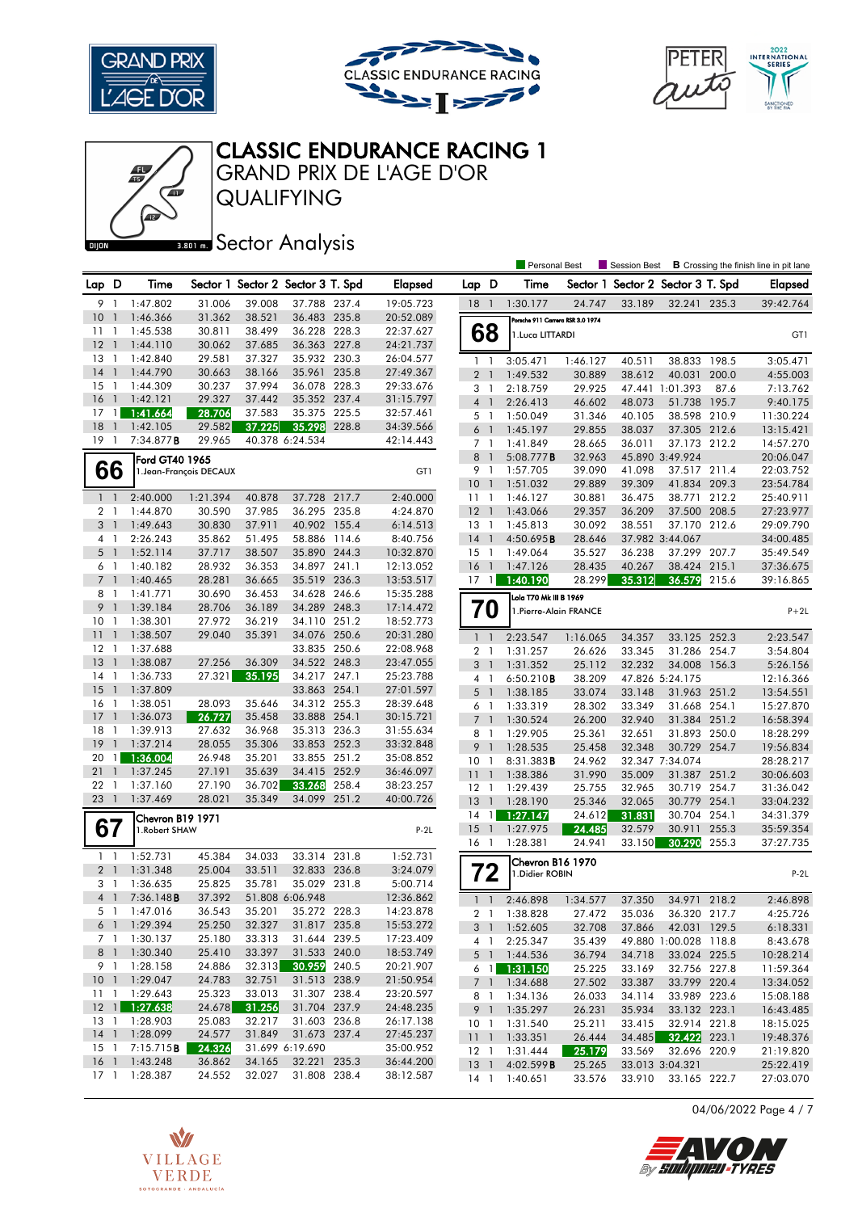





Personal Best **S** Session Best **B** Crossing the finish line in pit lane

# CLASSIC ENDURANCE RACING 1

QUALIFYING GRAND PRIX DE L'AGE D'OR

**BROTH** Sector Analysis

| Lap D           |                                  | Time                  |                         |                  | Sector 1 Sector 2 Sector 3 T. Spd |       | <b>Elapsed</b>         | Lap D           |                | Time                             | Sector 1         |        | Sector 2 Sector 3 T. Spd     |       | <b>Elapsed</b>         |
|-----------------|----------------------------------|-----------------------|-------------------------|------------------|-----------------------------------|-------|------------------------|-----------------|----------------|----------------------------------|------------------|--------|------------------------------|-------|------------------------|
| 9 1             |                                  | 1:47.802              | 31.006                  | 39.008           | 37.788 237.4                      |       | 19:05.723              | $18-1$          |                | 1:30.177                         | 24.747           | 33.189 | 32.241 235.3                 |       | 39:42.764              |
| 10              | $\overline{1}$                   | 1:46.366              | 31.362                  | 38.521           | 36.483 235.8                      |       | 20:52.089              |                 |                | Porsche 911 Carrera RSR 3.0 1974 |                  |        |                              |       |                        |
| 11              | $\overline{1}$                   | 1:45.538              | 30.811                  | 38.499           | 36.228 228.3                      |       | 22:37.627              |                 | 68             | 1. Luca LITTARDI                 |                  |        |                              |       | GT1                    |
| 12              | $\overline{1}$                   | 1:44.110              | 30.062                  | 37.685           | 36.363 227.8                      |       | 24:21.737              |                 |                |                                  |                  |        |                              |       |                        |
| 13              | -1                               | 1:42.840              | 29.581                  | 37.327           | 35.932 230.3                      |       | 26:04.577              | 1 <sup>1</sup>  |                | 3:05.471                         | 1:46.127         | 40.511 | 38.833 198.5                 |       | 3:05.471               |
| 14              | $\overline{1}$                   | 1:44.790              | 30.663                  | 38.166           | 35.961 235.8                      |       | 27:49.367              | 2 <sub>1</sub>  |                | 1:49.532                         | 30.889           | 38.612 | 40.031                       | 200.0 | 4:55.003               |
| 15              | -1                               | 1:44.309              | 30.237                  | 37.994           | 36.078 228.3                      |       | 29:33.676              | $3-1$           |                | 2:18.759                         | 29.925           |        | 47.441 1:01.393              | 87.6  | 7:13.762               |
| 16              | $\overline{1}$                   | 1:42.121              | 29.327                  | 37.442           | 35.352 237.4                      |       | 31:15.797              | $4-1$           |                | 2:26.413                         | 46.602           | 48.073 | 51.738 195.7                 |       | 9:40.175               |
| 17<br>18        | $\mathbf{1}$<br>$\overline{1}$   | 1:41.664              | 28.706                  | 37.583           | 35.375 225.5                      |       | 32:57.461              | 5 <sub>1</sub>  |                | 1:50.049                         | 31.346           | 40.105 | 38.598 210.9                 |       | 11:30.224              |
| 19              | - 1                              | 1:42.105<br>7:34.877B | 29.582<br>29.965        | 37.225           | 35.298<br>40.378 6:24.534         | 228.8 | 34:39.566<br>42:14.443 | $6-1$           |                | 1:45.197                         | 29.855           | 38.037 | 37.305 212.6                 |       | 13:15.421              |
|                 |                                  |                       |                         |                  |                                   |       |                        | 7 <sub>1</sub>  |                | 1:41.849                         | 28.665           | 36.011 | 37.173 212.2                 |       | 14:57.270              |
|                 |                                  | Ford GT40 1965        |                         |                  |                                   |       |                        | 8               | $\overline{1}$ | 5:08.777B                        | 32.963           | 41.098 | 45.890 3:49.924              |       | 20:06.047              |
|                 | 66                               |                       | 1. Jean-François DECAUX |                  |                                   |       | GT1                    | 9 1<br>10       | $\overline{1}$ | 1:57.705                         | 39.090<br>29.889 | 39.309 | 37.517 211.4<br>41.834 209.3 |       | 22:03.752<br>23:54.784 |
| $1\quad$        |                                  | 2:40.000              | 1:21.394                | 40.878           | 37.728 217.7                      |       | 2:40.000               | $11-1$          |                | 1:51.032<br>1:46.127             | 30.881           | 36.475 | 38.771 212.2                 |       | 25:40.911              |
| 2 1             |                                  | 1:44.870              | 30.590                  | 37.985           | 36.295 235.8                      |       | 4:24.870               | 12              | $\overline{1}$ | 1:43.066                         | 29.357           | 36.209 | 37.500 208.5                 |       | 27:23.977              |
| 3 <sup>1</sup>  |                                  | 1:49.643              | 30.830                  | 37.911           | 40.902 155.4                      |       | 6:14.513               | $13-1$          |                | 1:45.813                         | 30.092           | 38.551 | 37.170 212.6                 |       | 29:09.790              |
| 4 <sup>1</sup>  |                                  | 2:26.243              | 35.862                  | 51.495           | 58.886 114.6                      |       | 8:40.756               | 14              | $\overline{1}$ | 4:50.695B                        | 28.646           |        | 37.982 3:44.067              |       | 34:00.485              |
| 5 <sub>1</sub>  |                                  | 1:52.114              | 37.717                  | 38.507           | 35.890 244.3                      |       | 10:32.870              | $15-1$          |                | 1:49.064                         | 35.527           | 36.238 | 37.299 207.7                 |       | 35:49.549              |
| 6 1             |                                  | 1:40.182              | 28.932                  | 36.353           | 34.897 241.1                      |       | 12:13.052              | 16              | $\overline{1}$ | 1:47.126                         | 28.435           | 40.267 | 38.424 215.1                 |       | 37:36.675              |
| 7 <sub>1</sub>  |                                  | 1:40.465              | 28.281                  | 36.665           | 35.519 236.3                      |       | 13:53.517              | 17              | 1              | 1:40.190                         | 28.299           | 35.312 | 36.579 215.6                 |       | 39:16.865              |
| 8               | - 1                              | 1:41.771              | 30.690                  | 36.453           | 34.628 246.6                      |       | 15:35.288              |                 |                | Lola T70 Mk III B 1969           |                  |        |                              |       |                        |
| 9               | $\overline{1}$                   | 1:39.184              | 28.706                  | 36.189           | 34.289 248.3                      |       | 17:14.472              | 70              |                | 1. Pierre-Alain FRANCE           |                  |        |                              |       | $P+2L$                 |
| 10              | $\overline{1}$                   | 1:38.301              | 27.972                  | 36.219           | 34.110 251.2                      |       | 18:52.773              |                 |                |                                  |                  |        |                              |       |                        |
| 11              | $\overline{1}$                   | 1:38.507              | 29.040                  | 35.391           | 34.076 250.6                      |       | 20:31.280              | $\mathbf{1}$    | $\overline{1}$ | 2:23.547                         | 1:16.065         | 34.357 | 33.125 252.3                 |       | 2:23.547               |
| 12              | -1                               | 1:37.688              |                         |                  | 33.835 250.6                      |       | 22:08.968              | 2 <sub>1</sub>  |                | 1:31.257                         | 26.626           | 33.345 | 31.286 254.7                 |       | 3:54.804               |
| 13              | $\overline{1}$                   | 1:38.087              | 27.256                  | 36.309           | 34.522 248.3                      |       | 23:47.055              | 3               | $\overline{1}$ | 1:31.352                         | 25.112           | 32.232 | 34.008 156.3                 |       | 5:26.156               |
| 14              | -1                               | 1:36.733              | 27.321                  | 35.195           | 34.217 247.1                      |       | 25:23.788              | $4-1$           |                | 6:50.210B                        | 38.209           |        | 47.826 5:24.175              |       | 12:16.366              |
| 15              | $\overline{1}$                   | 1:37.809              |                         |                  | 33.863 254.1                      |       | 27:01.597              | 5 <sub>1</sub>  |                | 1:38.185                         | 33.074           | 33.148 | 31.963 251.2                 |       | 13:54.551              |
| 16              | $\overline{1}$                   | 1:38.051              | 28.093                  | 35.646           | 34.312 255.3                      |       | 28:39.648              | 6 1             |                | 1:33.319                         | 28.302           | 33.349 | 31.668 254.1                 |       | 15:27.870              |
| 17              | $\overline{1}$                   | 1:36.073              | 26.727                  | 35.458           | 33.888 254.1                      |       | 30:15.721              | 7 <sup>1</sup>  |                | 1:30.524                         | 26.200           | 32.940 | 31.384 251.2                 |       | 16:58.394              |
| 18              | $\overline{1}$                   | 1:39.913              | 27.632                  | 36.968           | 35.313 236.3                      |       | 31:55.634              | $8-1$           |                | 1:29.905                         | 25.361           | 32.651 | 31.893 250.0                 |       | 18:28.299              |
| 19              | $\overline{1}$                   | 1:37.214              | 28.055                  | 35.306           | 33.853 252.3                      |       | 33:32.848              | 9               | $\overline{1}$ | 1:28.535                         | 25.458           | 32.348 | 30.729 254.7                 |       | 19:56.834              |
| 20              | 1                                | 1:36.004              | 26.948                  | 35.201           | 33.855 251.2                      |       | 35:08.852              | 10              | -1             | 8:31.383 <b>B</b>                | 24.962           |        | 32.347 7:34.074              |       | 28:28.217              |
| 21<br>22        | $\overline{1}$<br>$\overline{1}$ | 1:37.245<br>1:37.160  | 27.191<br>27.190        | 35.639<br>36.702 | 34.415 252.9<br>33.268            | 258.4 | 36:46.097<br>38:23.257 | 11              | $\mathbf{1}$   | 1:38.386                         | 31.990           | 35.009 | 31.387                       | 251.2 | 30:06.603              |
| 23              | $\overline{1}$                   | 1:37.469              | 28.021                  | 35.349           | 34.099 251.2                      |       | 40:00.726              | $12-1$          |                | 1:29.439                         | 25.755           | 32.965 | 30.719 254.7                 |       | 31:36.042              |
|                 |                                  |                       |                         |                  |                                   |       |                        | 13              | $\overline{1}$ | 1:28.190                         | 25.346           | 32.065 | 30.779 254.1                 |       | 33:04.232              |
|                 |                                  | Chevron B19 1971      |                         |                  |                                   |       |                        | 14              | $\overline{1}$ | 1:27.147                         | 24.612           | 31.831 | 30.704 254.1                 |       | 34:31.379              |
| 67              |                                  | 1. Robert SHAW        |                         |                  |                                   |       | $P-2L$                 | 15<br>16 1      | $\overline{1}$ | 1:27.975                         | 24.485<br>24.941 | 32.579 | 30.911<br>30.290             | 255.3 | 35:59.354              |
| $1\quad$        |                                  | 1:52.731              | 45.384                  | 34.033           | 33.314 231.8                      |       | 1:52.731               |                 |                | 1:28.381                         |                  | 33.150 |                              | 255.3 | 37:27.735              |
| 2 <sub>1</sub>  |                                  | 1:31.348              | 25.004                  | 33.511           | 32.833 236.8                      |       | 3:24.079               |                 |                | Chevron B16 1970                 |                  |        |                              |       |                        |
| 3 1             |                                  | 1:36.635              | 25.825                  | 35.781           | 35.029 231.8                      |       | 5:00.714               |                 | 72             | 1. Didier ROBIN                  |                  |        |                              |       | $P-2L$                 |
| 4 1             |                                  | 7:36.148B             | 37.392                  |                  | 51.808 6:06.948                   |       | 12:36.862              | $1\quad$        |                | 2:46.898                         | 1:34.577         | 37.350 | 34.971 218.2                 |       | 2:46.898               |
| 5 1             |                                  | 1:47.016              | 36.543                  | 35.201           | 35.272 228.3                      |       | 14:23.878              | 2 <sub>1</sub>  |                | 1:38.828                         | 27.472           | 35.036 | 36.320 217.7                 |       | 4:25.726               |
|                 |                                  | 6 1 1:29.394          | 25.250                  | 32.327           | 31.817 235.8                      |       | 15:53.272              |                 |                | 3 1 1:52.605                     | 32.708           | 37.866 | 42.031 129.5                 |       | 6:18.331               |
|                 | 7 1                              | 1:30.137              | 25.180                  | 33.313           | 31.644 239.5                      |       | 17:23.409              |                 | 4 1            | 2:25.347                         | 35.439           |        | 49.880 1:00.028 118.8        |       | 8:43.678               |
| 8 <sup>1</sup>  |                                  | 1:30.340              | 25.410                  | 33.397           | 31.533 240.0                      |       | 18:53.749              |                 |                | 5 1 1:44.536                     | 36.794           | 34.718 | 33.024 225.5                 |       | 10:28.214              |
| 9 1             |                                  | 1:28.158              | 24.886                  | 32.313           | 30.959 240.5                      |       | 20:21.907              |                 | 6 <sub>1</sub> | 1:31.150                         | 25.225           | 33.169 | 32.756 227.8                 |       | 11:59.364              |
| 10 <sub>1</sub> |                                  | 1:29.047              | 24.783                  | 32.751           | 31.513 238.9                      |       | 21:50.954              |                 |                | 7 1 1:34.688                     | 27.502           | 33.387 | 33.799 220.4                 |       | 13:34.052              |
|                 |                                  | 11 1 1:29.643         | 25.323                  | 33.013           | 31.307 238.4                      |       | 23:20.597              | 8 1             |                | 1:34.136                         | 26.033           | 34.114 | 33.989 223.6                 |       | 15:08.188              |
|                 |                                  | $12$ 1:27.638         | 24.678                  | 31.256           | 31.704 237.9                      |       | 24:48.235              |                 | 9 <sub>1</sub> | 1:35.297                         | 26.231           | 35.934 | 33.132 223.1                 |       | 16:43.485              |
| $13-1$          |                                  | 1:28.903              | 25.083                  | 32.217           | 31.603 236.8                      |       | 26:17.138              | 10 <sub>1</sub> |                | 1:31.540                         | 25.211           | 33.415 | 32.914 221.8                 |       | 18:15.025              |
| $14-1$          |                                  | 1:28.099              | 24.577                  | 31.849           | 31.673 237.4                      |       | 27:45.237              |                 |                | 11 1 1:33.351                    | 26.444           | 34.485 | 32.422 223.1                 |       | 19:48.376              |
| $15-1$          |                                  | 7:15.715 <b>B</b>     | 24.326                  |                  | 31.699 6:19.690                   |       | 35:00.952              | $12-1$          |                | 1:31.444                         | 25.179           | 33.569 | 32.696 220.9                 |       | 21:19.820              |
| $16-1$          |                                  | 1:43.248              | 36.862                  | 34.165           | 32.221 235.3                      |       | 36:44.200              | 13 <sup>1</sup> |                | 4:02.599B                        | 25.265           |        | 33.013 3:04.321              |       | 25:22.419              |
| $17-1$          |                                  | 1:28.387              | 24.552                  | 32.027           | 31.808 238.4                      |       | 38:12.587              | $14-1$          |                | 1:40.651                         | 33.576           | 33.910 | 33.165 222.7                 |       | 27:03.070              |

04/06/2022 Page 4 / 7



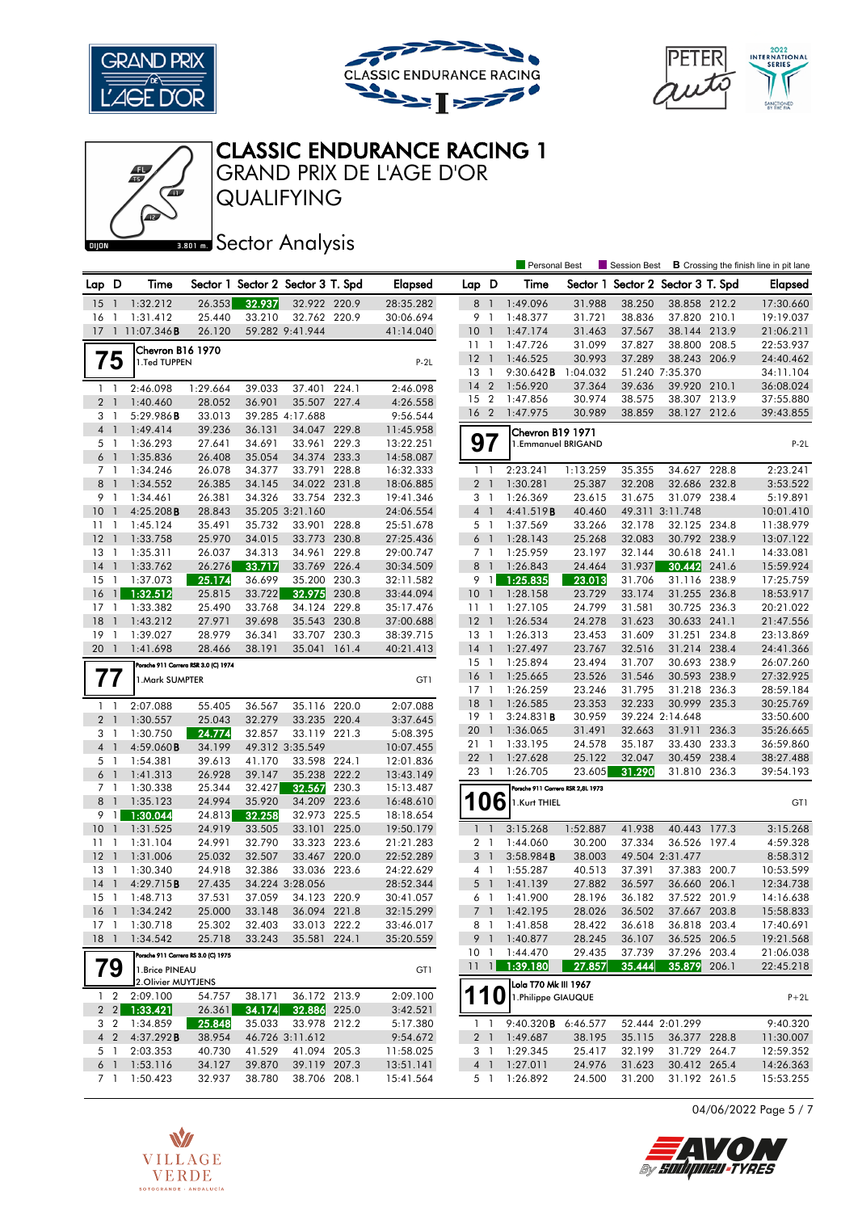





## CLASSIC ENDURANCE RACING 1

QUALIFYING GRAND PRIX DE L'AGE D'OR

#### **BROIR** Sector Analysis

|                |                          |                                     |                                      |        |                                   |       |                |                 |                | <b>Personal Best</b>              |          | Session Best                      |                 |       | <b>B</b> Crossing the finish line in pit lane |
|----------------|--------------------------|-------------------------------------|--------------------------------------|--------|-----------------------------------|-------|----------------|-----------------|----------------|-----------------------------------|----------|-----------------------------------|-----------------|-------|-----------------------------------------------|
| Lap D          |                          | Time                                |                                      |        | Sector 1 Sector 2 Sector 3 T. Spd |       | <b>Elapsed</b> | Lap D           |                | Time                              |          | Sector 1 Sector 2 Sector 3 T. Spd |                 |       | Elapsed                                       |
| 15             | -1                       | 1:32.212                            | 26.353                               | 32.937 | 32.922 220.9                      |       | 28:35.282      | 8               | $\overline{1}$ | 1:49.096                          | 31.988   | 38.250                            | 38.858 212.2    |       | 17:30.660                                     |
| 16             | $\mathbf{1}$             | 1:31.412                            | 25.440                               | 33.210 | 32.762 220.9                      |       | 30:06.694      | 9               | $\overline{1}$ | 1:48.377                          | 31.721   | 38.836                            | 37.820 210.1    |       | 19:19.037                                     |
| 17             |                          | 1 11:07.346 <b>B</b>                | 26.120                               |        | 59.282 9:41.944                   |       | 41:14.040      | 10 <sub>1</sub> |                | 1:47.174                          | 31.463   | 37.567                            | 38.144 213.9    |       | 21:06.211                                     |
|                |                          | Chevron B16 1970                    |                                      |        |                                   |       |                | 11              | $\overline{1}$ | 1:47.726                          | 31.099   | 37.827                            | 38,800          | 208.5 | 22:53.937                                     |
|                | 75                       | 1.Ted TUPPEN                        |                                      |        |                                   |       | $P-2L$         | $12-1$          |                | 1:46.525                          | 30.993   | 37.289                            | 38.243 206.9    |       | 24:40.462                                     |
|                |                          |                                     |                                      |        |                                   |       |                | 13 1            |                | 9:30.642B                         | 1:04.032 |                                   | 51.240 7:35.370 |       | 34:11.104                                     |
| $1\quad$       |                          | 2:46.098                            | 1:29.664                             | 39.033 | 37.401                            | 224.1 | 2:46.098       | 14              | $\overline{2}$ | 1:56.920                          | 37.364   | 39.636                            | 39.920 210.1    |       | 36:08.024                                     |
| 2 <sub>1</sub> |                          | 1:40.460                            | 28.052                               | 36.901 | 35.507 227.4                      |       | 4:26.558       | 15 2            |                | 1:47.856                          | 30.974   | 38.575                            | 38.307 213.9    |       | 37:55.880                                     |
| 3              | $\mathbf{1}$             | 5:29.986B                           | 33.013                               |        | 39.285 4:17.688                   |       | 9:56.544       | 16 <sub>2</sub> |                | 1:47.975                          | 30.989   | 38.859                            | 38.127 212.6    |       | 39:43.855                                     |
| 4 <sup>1</sup> |                          | 1:49.414                            | 39.236                               | 36.131 | 34.047 229.8                      |       | 11:45.958      |                 |                | Chevron B19 1971                  |          |                                   |                 |       |                                               |
| 5 <sub>1</sub> |                          | 1:36.293                            | 27.641                               | 34.691 | 33.961                            | 229.3 | 13:22.251      | 97              |                | 1.Emmanuel BRIGAND                |          |                                   |                 |       | $P-2L$                                        |
| $6-1$          |                          | 1:35.836                            | 26.408                               | 35.054 | 34.374 233.3                      |       | 14:58.087      |                 |                |                                   |          |                                   |                 |       |                                               |
| 7 <sup>1</sup> |                          | 1:34.246                            | 26.078                               | 34.377 | 33.791 228.8                      |       | 16:32.333      | $1\quad$        |                | 2:23.241                          | 1:13.259 | 35.355                            | 34.627 228.8    |       | 2:23.241                                      |
| 8 <sup>1</sup> |                          | 1:34.552                            | 26.385                               | 34.145 | 34.022 231.8                      |       | 18:06.885      | 2 <sub>1</sub>  |                | 1:30.281                          | 25.387   | 32.208                            | 32.686 232.8    |       | 3:53.522                                      |
| 9 1            |                          | 1:34.461                            | 26.381                               | 34.326 | 33.754 232.3                      |       | 19:41.346      | 3 <sub>1</sub>  |                | 1:26.369                          | 23.615   | 31.675                            | 31.079 238.4    |       | 5:19.891                                      |
| 10             | $\overline{1}$           | 4:25.208B                           | 28.843                               |        | 35.205 3:21.160                   |       | 24:06.554      | 4 <sup>1</sup>  |                | 4:41.519B                         | 40.460   |                                   | 49.311 3:11.748 |       | 10:01.410                                     |
| 11             | $\overline{1}$           | 1:45.124                            | 35.491                               | 35.732 | 33.901 228.8                      |       | 25:51.678      | 5 1             |                | 1:37.569                          | 33.266   | 32.178                            | 32.125 234.8    |       | 11:38.979                                     |
| 12             | $\overline{1}$           | 1:33.758                            | 25.970                               | 34.015 | 33.773 230.8                      |       | 27:25.436      | $6-1$           |                | 1:28.143                          | 25.268   | 32.083                            | 30.792 238.9    |       | 13:07.122                                     |
| 13             | $\overline{1}$           | 1:35.311                            | 26.037                               | 34.313 | 34.961 229.8                      |       | 29:00.747      | 7 <sub>1</sub>  |                | 1:25.959                          | 23.197   | 32.144                            | 30.618 241.1    |       | 14:33.081                                     |
| 14             | $\overline{1}$           | 1:33.762                            | 26.276                               | 33.717 | 33.769 226.4                      |       | 30:34.509      | 8               | $\overline{1}$ | 1:26.843                          | 24.464   | 31.937                            | 30.442          | 241.6 | 15:59.924                                     |
| 15             | $\mathbf{1}$             | 1:37.073                            | 25.174                               | 36.699 | 35.200                            | 230.3 | 32:11.582      | 9               | $\mathbf{1}$   | 1:25.835                          | 23.013   | 31.706                            | 31.116 238.9    |       | 17:25.759                                     |
| 16             | $\mathbf{1}$             | 1:32.512                            | 25.815                               | 33.722 | 32.975                            | 230.8 | 33:44.094      | 10              | $\overline{1}$ | 1:28.158                          | 23.729   | 33.174                            | 31.255 236.8    |       | 18:53.917                                     |
| 17             | $\mathbf{1}$             | 1:33.382                            | 25.490                               | 33.768 | 34.124 229.8                      |       | 35:17.476      | 11              | $\overline{1}$ | 1:27.105                          | 24.799   | 31.581                            | 30.725 236.3    |       | 20:21.022                                     |
| 18             | $\mathbf{1}$             | 1:43.212                            | 27.971                               | 39.698 | 35.543 230.8                      |       | 37:00.688      | 12              | $\overline{1}$ | 1:26.534                          | 24.278   | 31.623                            | 30.633 241.1    |       | 21:47.556                                     |
| 19             | $\overline{1}$           | 1:39.027                            | 28.979                               | 36.341 | 33.707 230.3                      |       | 38:39.715      | $13-1$          |                | 1:26.313                          | 23.453   | 31.609                            | 31.251 234.8    |       | 23:13.869                                     |
| 20             | $\overline{1}$           | 1:41.698                            | 28.466                               | 38.191 | 35.041                            | 161.4 | 40:21.413      | $14-1$          |                | 1:27.497                          | 23.767   | 32.516                            | 31.214 238.4    |       | 24:41.366                                     |
|                |                          |                                     | Porsche 911 Carrera RSR 3.0 (C) 1974 |        |                                   |       |                | $15-1$          |                | 1:25.894                          | 23.494   | 31.707                            | 30.693 238.9    |       | 26:07.260                                     |
| $\prime\prime$ |                          | 1. Mark SUMPTER                     |                                      |        |                                   |       | GT1            | 16              | $\overline{1}$ | 1:25.665                          | 23.526   | 31.546                            | 30.593 238.9    |       | 27:32.925                                     |
|                |                          |                                     |                                      |        |                                   |       |                | $17-1$          |                | 1:26.259                          | 23.246   | 31.795                            | 31.218 236.3    |       | 28:59.184                                     |
| $1\quad$       |                          | 2:07.088                            | 55.405                               | 36.567 | 35.116 220.0                      |       | 2:07.088       | $18-1$          |                | 1:26.585                          | 23.353   | 32.233                            | 30.999 235.3    |       | 30:25.769                                     |
| 2 <sub>1</sub> |                          | 1:30.557                            | 25.043                               | 32.279 | 33.235 220.4                      |       | 3:37.645       | 19              | $\overline{1}$ | 3:24.831B                         | 30.959   |                                   | 39.224 2:14.648 |       | 33:50.600                                     |
| 3 <sub>1</sub> |                          | 1:30.750                            | 24.774                               | 32.857 | 33.119 221.3                      |       | 5:08.395       | 20              | $\overline{1}$ | 1:36.065                          | 31.491   | 32.663                            | 31.911 236.3    |       | 35:26.665                                     |
| $\overline{4}$ | $\overline{\phantom{a}}$ | 4:59.060B                           | 34.199                               |        | 49.312 3:35.549                   |       | 10:07.455      | 21 1            |                | 1:33.195                          | 24.578   | 35.187                            | 33.430          | 233.3 | 36:59.860                                     |
| 5 <sub>1</sub> |                          | 1:54.381                            | 39.613                               | 41.170 | 33.598 224.1                      |       | 12:01.836      | 221             |                | 1:27.628                          | 25.122   | 32.047                            | 30.459 238.4    |       | 38:27.488                                     |
| $6-1$          |                          | 1:41.313                            | 26.928                               | 39.147 | 35.238                            | 222.2 | 13:43.149      | 23 1            |                | 1:26.705                          | 23.605   | 31.290                            | 31.810 236.3    |       | 39:54.193                                     |
| 7 <sub>1</sub> |                          | 1:30.338                            | 25.344                               | 32.427 | 32.567                            | 230.3 | 15:13.487      |                 |                | Porsche 911 Carrera RSR 2,8L 1973 |          |                                   |                 |       |                                               |
| 8 <sup>1</sup> |                          | 1:35.123                            | 24.994                               | 35.920 | 34.209                            | 223.6 | 16:48.610      | <b>106</b>      |                | 1.Kurt THIEL                      |          |                                   |                 |       | GT1                                           |
| 9              | $\overline{1}$           | 1:30.044                            | 24.813                               | 32.258 | 32.973 225.5                      |       | 18:18.654      |                 |                |                                   |          |                                   |                 |       |                                               |
| 10             | $\overline{1}$           | 1:31.525                            | 24.919                               | 33.505 | 33.101 225.0                      |       | 19:50.179      | $\mathbf{1}$    | $\overline{1}$ | 3:15.268                          | 1:52.887 | 41.938                            | 40.443 177.3    |       | 3:15.268                                      |
| $11-1$         |                          | 1:31.104                            | 24.991                               | 32.790 | 33.323 223.6                      |       | 21:21.283      | 2 <sub>1</sub>  |                | 1:44.060                          | 30.200   | 37.334                            | 36.526 197.4    |       | 4:59.328                                      |
| 12             | $\overline{1}$           | 1:31.006                            | 25.032                               | 32.507 | 33.467 220.0                      |       | 22:52.289      | 3 <sup>1</sup>  |                | 3:58.984B                         | 38.003   |                                   | 49.504 2:31.477 |       | 8:58.312                                      |
| 13             | $\overline{1}$           | 1:30.340                            | 24.918                               | 32.386 | 33.036 223.6                      |       | 24:22.629      | 4 1             |                | 1:55.287                          | 40.513   | 37.391                            | 37.383 200.7    |       | 10:53.599                                     |
| 14             |                          | 4:29.715B                           | 27.435                               |        | 34.224 3:28.056                   |       | 28:52.344      | 5               | $\overline{1}$ | 1:41.139                          | 27.882   | 36.597                            | 36.660 206.1    |       | 12:34.738                                     |
| 15             | $\overline{1}$           | 1:48.713                            | 37.531                               | 37.059 | 34.123 220.9                      |       | 30:41.057      | 6 1             |                | 1:41.900                          | 28.196   | 36.182                            | 37.522 201.9    |       | 14:16.638                                     |
|                |                          | 16 1 1:34.242                       | 25.000                               | 33.148 | 36.094 221.8                      |       | 32:15.299      |                 |                | 7 1 1:42.195                      | 28.026   | 36.502                            | 37.667 203.8    |       | 15:58.833                                     |
| $17-1$         |                          | 1:30.718                            | 25.302                               | 32.403 | 33.013 222.2                      |       | 33:46.017      |                 |                | 8 1 1:41.858                      | 28.422   | 36.618                            | 36.818 203.4    |       | 17:40.691                                     |
| $18-1$         |                          | 1:34.542                            | 25.718                               | 33.243 | 35.581 224.1                      |       | 35:20.559      |                 | 9 1            | 1:40.877                          | 28.245   | 36.107                            | 36.525 206.5    |       | 19:21.568                                     |
|                |                          | Porsche 911 Carrera RS 3.0 (C) 1975 |                                      |        |                                   |       |                | 10 <sub>1</sub> |                | 1:44.470                          | 29.435   | 37.739                            | 37.296 203.4    |       | 21:06.038                                     |
|                | 79                       | 1.Brice PINEAU                      |                                      |        |                                   |       | GT1            | $11 \quad 1$    |                | 1:39.180                          | 27.857   | 35.444                            | 35.879 206.1    |       | 22:45.218                                     |
|                |                          | 2. Olivier MUYTJENS                 |                                      |        |                                   |       |                |                 |                | Lola T70 Mk III 1967              |          |                                   |                 |       |                                               |
|                | $1\quad2$                | 2:09.100                            | 54.757                               | 38.171 | 36.172 213.9                      |       | 2:09.100       | 110             |                | 1. Philippe GIAUQUE               |          |                                   |                 |       | $P+2L$                                        |
|                |                          | $2 \quad 2 \quad 1:33.421$          | 26.361                               | 34.174 | 32.886 225.0                      |       | 3:42.521       |                 |                |                                   |          |                                   |                 |       |                                               |
|                | 3 2                      | 1:34.859                            | 25.848                               | 35.033 | 33.978 212.2                      |       | 5:17.380       | $1\quad1$       |                | 9:40.320 <b>B</b> 6:46.577        |          |                                   | 52.444 2:01.299 |       | 9:40.320                                      |
| 4 <sub>2</sub> |                          | 4:37.292B                           | 38.954                               |        | 46.726 3:11.612                   |       | 9:54.672       |                 | 2 <sup>1</sup> | 1:49.687                          | 38.195   | 35.115                            | 36.377 228.8    |       | 11:30.007                                     |
|                | 5 1                      | 2:03.353                            | 40.730                               | 41.529 | 41.094 205.3                      |       | 11:58.025      |                 |                | 3 1 1:29.345                      | 25.417   | 32.199                            | 31.729 264.7    |       | 12:59.352                                     |
| $6-1$          |                          | 1:53.116                            | 34.127                               | 39.870 | 39.119 207.3                      |       | 13:51.141      | 4 <sup>1</sup>  |                | 1:27.011                          | 24.976   | 31.623                            | 30.412 265.4    |       | 14:26.363                                     |
|                | 7 1                      | 1:50.423                            | 32.937                               | 38.780 | 38.706 208.1                      |       | 15:41.564      |                 | 5 1            | 1:26.892                          | 24.500   | 31.200                            | 31.192 261.5    |       | 15:53.255                                     |

04/06/2022 Page 5 / 7



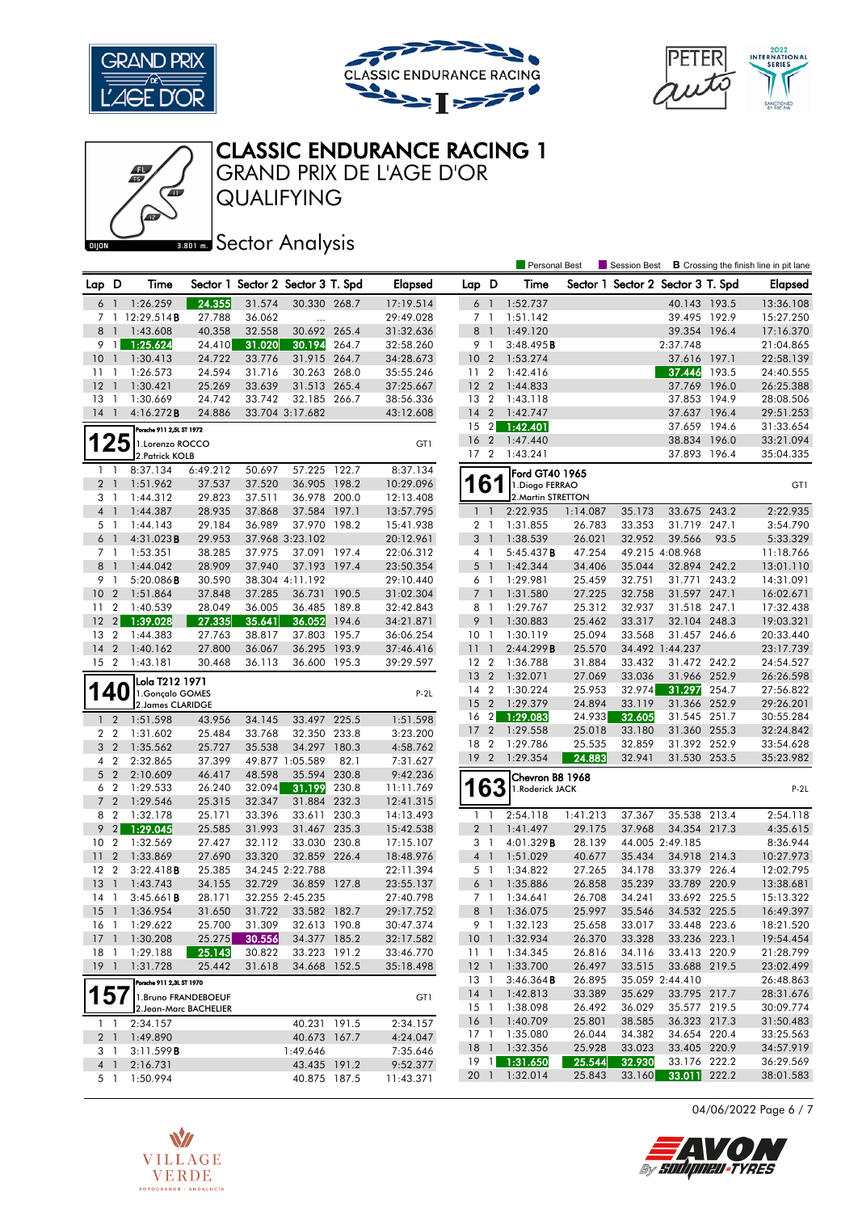

心





# CLASSIC ENDURANCE RACING 1

QUALIFYING GRAND PRIX DE L'AGE D'OR

#### **BRONES** Sector Analysis

|                       |                                  |                                       |                       |                                   |                  |       |                        |                         |                | <b>Personal Best</b>  |                  | Session Best                      |                                 |       | <b>B</b> Crossing the finish line in pit lane |
|-----------------------|----------------------------------|---------------------------------------|-----------------------|-----------------------------------|------------------|-------|------------------------|-------------------------|----------------|-----------------------|------------------|-----------------------------------|---------------------------------|-------|-----------------------------------------------|
| Lap D                 |                                  | Time                                  |                       | Sector 1 Sector 2 Sector 3 T. Spd |                  |       | <b>Elapsed</b>         | Lap D                   |                | Time                  |                  | Sector 1 Sector 2 Sector 3 T. Spd |                                 |       | Elapsed                                       |
| 6                     | $\overline{1}$                   | 1:26.259                              | 24.355                | 31.574                            | 30.330 268.7     |       | 17:19.514              | 6 <sup>1</sup>          |                | 1:52.737              |                  |                                   | 40.143 193.5                    |       | 13:36.108                                     |
|                       |                                  | 7 1 12:29.514B                        | 27.788                | 36.062                            | $\cdots$         |       | 29:49.028              | 7 1                     |                | 1:51.142              |                  |                                   | 39.495 192.9                    |       | 15:27.250                                     |
| 8                     | $\overline{1}$                   | 1:43.608                              | 40.358                | 32.558                            | 30.692 265.4     |       | 31:32.636              | 8                       | $\overline{1}$ | 1:49.120              |                  |                                   | 39.354 196.4                    |       | 17:16.370                                     |
| 9                     | 1                                | 1:25.624                              | 24.410                | 31.020                            | 30.194           | 264.7 | 32:58.260              | 9 1                     |                | 3:48.495B             |                  |                                   | 2:37.748                        |       | 21:04.865                                     |
| 10                    | $\overline{1}$                   | 1:30.413                              | 24.722                | 33.776                            | 31.915 264.7     |       | 34:28.673              | 10 <sub>2</sub>         |                | 1:53.274              |                  |                                   | 37.616 197.1                    |       | 22:58.139                                     |
| 11                    | - 1                              | 1:26.573                              | 24.594                | 31.716                            | 30.263 268.0     |       | 35:55.246              | 11 2                    |                | 1:42.416              |                  |                                   | 37.446 193.5                    |       | 24:40.555                                     |
| 12                    | $\overline{1}$                   | 1:30.421                              | 25.269                | 33.639                            | 31.513 265.4     |       | 37:25.667              | 12 <sub>2</sub>         |                | 1:44.833              |                  |                                   | 37.769 196.0                    |       | 26:25.388                                     |
| 13                    | -1                               | 1:30.669                              | 24.742                | 33.742                            | 32.185 266.7     |       | 38:56.336              | 13 2                    |                | 1:43.118              |                  |                                   | 37.853 194.9                    |       | 28:08.506                                     |
| 14                    | $\overline{1}$                   | 4:16.272B                             | 24.886                |                                   | 33.704 3:17.682  |       | 43:12.608              | 14                      | $\overline{2}$ | 1:42.747              |                  |                                   | 37.637 196.4                    |       | 29:51.253                                     |
|                       |                                  | Porsche 911 2,5L ST 1972              |                       |                                   |                  |       |                        | 15 2                    |                | 1:42.401              |                  |                                   | 37.659 194.6                    |       | 31:33.654                                     |
|                       | 25                               | 1.Lorenzo ROCCO                       |                       |                                   |                  |       | GT1                    | 16                      | $\overline{2}$ | 1:47.440              |                  |                                   | 38.834                          | 196.0 | 33:21.094                                     |
|                       |                                  | 2. Patrick KOLB                       |                       |                                   |                  |       |                        | 17 <sub>2</sub>         |                | 1:43.241              |                  |                                   | 37.893 196.4                    |       | 35:04.335                                     |
| $1\quad$              |                                  | 8:37.134                              | 6:49.212              | 50.697                            | 57.225 122.7     |       | 8:37.134               |                         |                | Ford GT40 1965        |                  |                                   |                                 |       |                                               |
| 2 <sub>1</sub>        |                                  | 1:51.962                              | 37.537                | 37.520                            | 36.905           | 198.2 | 10:29.096              |                         | 6              | 1.Diogo FERRAO        |                  |                                   |                                 |       | GT1                                           |
| 31                    |                                  | 1:44.312                              | 29.823                | 37.511                            | 36.978 200.0     |       | 12:13.408              |                         |                | 2. Martin STRETTON    |                  |                                   |                                 |       |                                               |
| 4 <sub>1</sub>        |                                  | 1:44.387                              | 28.935                | 37.868                            | 37.584           | 197.1 | 13:57.795              | $\mathbf{1}$            | $\overline{1}$ | 2:22.935              | 1:14.087         | 35.173                            | 33.675 243.2                    |       | 2:22.935                                      |
| 5 1                   |                                  | 1:44.143                              | 29.184                | 36.989                            | 37.970 198.2     |       | 15:41.938              | 2 <sub>1</sub>          |                | 1:31.855              | 26.783           | 33.353                            | 31.719 247.1                    |       | 3:54.790                                      |
| $6-1$                 |                                  | 4:31.023B                             | 29.953                |                                   | 37.968 3:23.102  |       | 20:12.961              | 3 <sup>1</sup>          |                | 1:38.539              | 26.021           | 32.952                            | 39.566                          | 93.5  | 5:33.329                                      |
| 7 <sub>1</sub>        |                                  | 1:53.351                              | 38.285                | 37.975                            | 37.091 197.4     |       | 22:06.312              | 4 1                     |                | 5:45.437B             | 47.254           |                                   | 49.215 4:08.968                 |       | 11:18.766                                     |
| 8                     | -1                               | 1:44.042                              | 28.909                | 37.940                            | 37.193 197.4     |       | 23:50.354              | $5-1$                   |                | 1:42.344              | 34.406           | 35.044                            | 32.894 242.2                    |       | 13:01.110                                     |
| 9                     | $\overline{1}$                   | 5:20.086B                             | 30.590                |                                   | 38.304 4:11.192  |       | 29:10.440              | 6 1                     |                | 1:29.981              | 25.459           | 32.751                            | 31.771                          | 243.2 | 14:31.091                                     |
| 10                    | $\overline{2}$                   | 1:51.864                              | 37.848                | 37.285                            | 36.731           | 190.5 | 31:02.304              | $7-1$                   |                | 1:31.580              | 27.225           | 32.758                            | 31.597 247.1                    |       | 16:02.671                                     |
| 11                    | $\overline{2}$                   | 1:40.539                              | 28.049                | 36.005                            | 36.485           | 189.8 | 32:42.843              | 8 1                     |                | 1:29.767              | 25.312           | 32.937                            | 31.518 247.1                    |       | 17:32.438                                     |
| 12                    | 2                                | 1:39.028                              | 27.335                | 35.641                            | 36.052           | 194.6 | 34:21.871              | 9                       | $\overline{1}$ | 1:30.883              | 25.462           | 33.317                            | 32.104 248.3                    |       | 19:03.321                                     |
| 13                    | $\overline{2}$<br>$\overline{2}$ | 1:44.383                              | 27.763                | 38.817                            | 37.803<br>36.295 | 195.7 | 36:06.254              | 10 <sub>1</sub>         |                | 1:30.119              | 25.094           | 33.568                            | 31.457 246.6                    |       | 20:33.440                                     |
| 14<br>15 <sup>2</sup> |                                  | 1:40.162<br>1:43.181                  | 27.800<br>30.468      | 36.067<br>36.113                  | 36.600 195.3     | 193.9 | 37:46.416<br>39:29.597 | 111<br>12 2             |                | 2:44.299B<br>1:36.788 | 25.570<br>31.884 | 33.432                            | 34.492 1:44.237<br>31.472 242.2 |       | 23:17.739<br>24:54.527                        |
|                       |                                  |                                       |                       |                                   |                  |       |                        | $13 \quad 2$            |                | 1:32.071              | 27.069           | 33.036                            | 31.966 252.9                    |       | 26:26.598                                     |
|                       |                                  | Lola T212 1971                        |                       |                                   |                  |       |                        | 14 2                    |                | 1:30.224              | 25.953           | 32.974                            | 31.297                          | 254.7 | 27:56.822                                     |
|                       |                                  | 1. Gonçalo GOMES<br>2. James CLARIDGE |                       |                                   |                  |       | $P-2L$                 | 15 <sub>2</sub>         |                | 1:29.379              | 24.894           | 33.119                            | 31.366 252.9                    |       | 29:26.201                                     |
| $\mathbf{1}$          | $\overline{2}$                   | 1:51.598                              | 43.956                | 34.145                            | 33.497 225.5     |       | 1:51.598               | 16                      | $\overline{2}$ | 1:29.083              | 24.933           | 32.605                            | 31.545 251.7                    |       | 30:55.284                                     |
| 2 <sub>2</sub>        |                                  | 1:31.602                              | 25.484                | 33.768                            | 32.350           | 233.8 | 3:23.200               | 17                      | $\overline{2}$ | 1:29.558              | 25.018           | 33.180                            | 31.360 255.3                    |       | 32:24.842                                     |
| 3                     | $\overline{2}$                   | 1:35.562                              | 25.727                | 35.538                            | 34.297 180.3     |       | 4:58.762               | 18 2                    |                | 1:29.786              | 25.535           | 32.859                            | 31.392 252.9                    |       | 33:54.628                                     |
| 4                     | $\overline{2}$                   | 2:32.865                              | 37.399                |                                   | 49.877 1:05.589  | 82.1  | 7:31.627               | 192                     |                | 1:29.354              | 24.883           | 32.941                            | 31.530 253.5                    |       | 35:23.982                                     |
| 5 <sub>2</sub>        |                                  | 2:10.609                              | 46.417                | 48.598                            | 35.594           | 230.8 | 9:42.236               |                         |                | Chevron B8 1968       |                  |                                   |                                 |       |                                               |
| 6                     | $\overline{2}$                   | 1:29.533                              | 26.240                | 32.094                            | 31.199           | 230.8 | 11:11.769              |                         | 63             | 1.Roderick JACK       |                  |                                   |                                 |       | $P-2L$                                        |
| 7 <sup>7</sup>        | $\overline{2}$                   | 1:29.546                              | 25.315                | 32.347                            | 31.884 232.3     |       | 12:41.315              |                         |                |                       |                  |                                   |                                 |       |                                               |
| 8                     | $\overline{2}$                   | 1:32.178                              | 25.171                | 33.396                            | 33.611           | 230.3 | 14:13.493              | 1                       | -1             | 2:54.118              | 1:41.213         | 37.367                            | 35.538 213.4                    |       | 2:54.118                                      |
| 9                     | $\vert$ 2                        | 1:29.045                              | 25.585                | 31.993                            | 31.467 235.3     |       | 15:42.538              | 2 <sub>1</sub>          |                | 1:41.497              | 29.175           | 37.968                            | 34.354 217.3                    |       | 4:35.615                                      |
| 10 <sup>°</sup>       | $\overline{2}$                   | 1:32.569                              | 27.427                | 32.112                            | 33.030 230.8     |       | 17:15.107              | 3 1                     |                | 4:01.329B             | 28.139           |                                   | 44.005 2:49.185                 |       | 8:36.944                                      |
| 11                    | $\overline{2}$                   | 1:33.869                              | 27.690                | 33.320                            | 32.859           | 226.4 | 18:48.976              | $4-1$                   |                | 1:51.029              | 40.677           | 35.434                            | 34.918 214.3                    |       | 10:27.973                                     |
| 12                    | $\overline{2}$                   | 3:22.418B                             | 25.385                |                                   | 34.245 2:22.788  |       | 22:11.394              | 5 1                     |                | 1:34.822              | 27.265           | 34.178                            | 33.379 226.4                    |       | 12:02.795                                     |
| 13                    | $\mathbf{1}$                     | 1:43.743                              | 34.155                | 32.729                            | 36.859           | 127.8 | 23:55.137              | 6                       | $\overline{1}$ | 1:35.886              | 26.858           | 35.239                            | 33.789                          | 220.9 | 13:38.681                                     |
| 14                    | -1                               | 3:45.661B                             | 28.171                |                                   | 32.255 2:45.235  |       | 27:40.798              | 7 <sub>1</sub>          |                | 1:34.641              | 26.708           | 34.241                            | 33.692 225.5                    |       | 15:13.322                                     |
| 15 1                  |                                  | 1:36.954                              | 31.650                | 31.722                            | 33.582 182.7     |       | 29:17.752              |                         |                | 8 1 1:36.075          | 25.997           | 35.546                            | 34.532 225.5                    |       | 16:49.397                                     |
| 16 1                  |                                  | 1:29.622                              | 25.700                | 31.309                            | 32.613 190.8     |       | 30:47.374              |                         |                | 9 1 1:32.123          | 25.658           | 33.017                            | 33.448 223.6                    |       | 18:21.520                                     |
| $17-1$                |                                  | 1:30.208                              | 25.275                | 30.556                            | 34.377 185.2     |       | 32:17.582              | 10 <sub>1</sub>         |                | 1:32.934              | 26.370           | 33.328                            | 33.236 223.1                    |       | 19:54.454                                     |
| 18 1                  |                                  | 1:29.188                              | 25.143                | 30.822                            | 33.223 191.2     |       | 33:46.770              | 11 1                    |                | 1:34.345              | 26.816           | 34.116                            | 33.413 220.9                    |       | 21:28.799                                     |
| $19-1$                |                                  | 1:31.728                              | 25.442                | 31.618                            | 34.668 152.5     |       | 35:18.498              | $12-1$                  |                | 1:33.700              | 26.497           | 33.515                            | 33.688 219.5                    |       | 23:02.499                                     |
|                       |                                  | Porsche 911 2,3L ST 1970              |                       |                                   |                  |       |                        | $13-1$                  |                | $3:46.364$ <b>B</b>   | 26.895           |                                   | 35.059 2:44.410                 |       | 26:48.863                                     |
| 157                   |                                  | 1. Bruno FRANDEBOEUF                  |                       |                                   |                  |       | GT1                    | $14-1$                  |                | 1:42.813              | 33.389           | 35.629                            | 33.795 217.7                    |       | 28:31.676                                     |
|                       |                                  |                                       | 2.Jean-Marc BACHELIER |                                   |                  |       |                        | $15-1$                  |                | 1:38.098              | 26.492           | 36.029                            | 35.577 219.5                    |       | 30:09.774                                     |
| $1\quad$              |                                  | 2:34.157                              |                       |                                   | 40.231 191.5     |       | 2:34.157               | 16 <sub>1</sub>         |                | 1:40.709              | 25.801           | 38.585                            | 36.323 217.3                    |       | 31:50.483                                     |
| 2 <sub>1</sub>        |                                  | 1:49.890                              |                       |                                   | 40.673 167.7     |       | 4:24.047               | 17 1<br>18 <sup>1</sup> |                | 1:35.080<br>1:32.356  | 26.044<br>25.928 | 34.382<br>33.023                  | 34.654 220.4<br>33.405 220.9    |       | 33:25.563<br>34:57.919                        |
| 31                    |                                  | 3:11.599B                             |                       |                                   | 1:49.646         |       | 7:35.646               | $19 \quad 1$            |                | 1:31.650              | 25.544           | 32.930                            | 33.176 222.2                    |       | 36:29.569                                     |
| 4 <sup>1</sup>        |                                  | 2:16.731<br>1:50.994                  |                       |                                   | 43.435 191.2     |       | 9:52.377               |                         |                | 20 1 1:32.014         | 25.843           | 33.160                            | 33.011 222.2                    |       | 38:01.583                                     |
| 5 1                   |                                  |                                       |                       |                                   | 40.875 187.5     |       | 11:43.371              |                         |                |                       |                  |                                   |                                 |       |                                               |